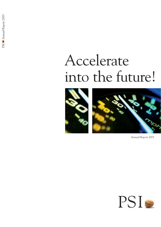# Accelerate into the future!



Annual Report 2003

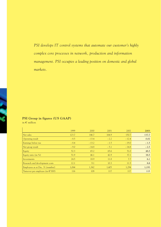*PSI develops IT control systems that automate our customer's highly complex core processes in network, production and information management. PSI occupies a leading position on domestic and global markets.* 

# **PSI Group in figures (US GAAP)**

in  $\epsilon$  million

|                                            | 1999   | 2000    | 2001   | 2002    | 2003   |
|--------------------------------------------|--------|---------|--------|---------|--------|
| Net sales                                  | 123.7  | 146.7   | 164.9  | 150.7   | 137.7  |
| Operating result                           | $-8.5$ | $-13.4$ | $-2.2$ | $-12.4$ | 0.02   |
| Earnings before tax                        | $-8.4$ | $-13.2$ | $-1.5$ | $-19.0$ | $-1.5$ |
| Net group result                           | $-9.0$ | $-14.8$ | $-5.1$ | $-14.8$ | $-2.5$ |
| Equity                                     | 52.3   | 65.2    | 65.6   | 51.0    | 48.5   |
| Equity ratio (in $\%$ )                    | 51.9   | 46.1    | 42.9   | 37.1    | 38.5   |
| Investments                                | 24.5   | 18.9    | 11.8   | 7.7     | 6.1    |
| Research and development costs             | 12.1   | 9.1     | 10.3   | 11.5    | 8.8    |
| Employees as at Dec. 31 (number)           | 1,064  | 1,362   | 1,405  | 1,294   | 1,193  |
| Turnover per employee (in $\epsilon$ '000) | 116    | 108     | 117    | 117     | 115    |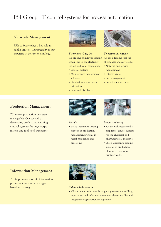# PSI Group: IT control systems for process automation

### **Network Management**

PSI's software plays a key role in public utilities. Our specialty is our expertise in control technology.



### *Electricity, Gas, Oil*

We are one of Europe's leading enterprises in the electricity, gas, oil and water segments for

- **•** Control systems
- **•** Maintenance management software
- **•** Simulation and network utilization
- **•** Sales and distribution



*Telecommunications*  We are a leading supplier

- of products and services for
- **•** Network and service management
- **•** Infrastructure
- **•** Test management
- **•** Security management

# **Production Management**

PSI makes production processes manageable. Our specialty is developing production planning control systems for large corporations and mid-sized businesses.



#### *Metals*

**•** PSI is Germany's leading supplier of production management systems in metal production and processing



#### *Process industry*

- **•** We are well positioned as suppliers of control systems for the chemical and pharmaceutical industries
- **•** PSI is Germany's leading supplier of production planning systems for printing works

# **Information Management**

PSI improves electronic information processes. Our specialty is agent based technology.



#### *Public administration*

**•** eGovernment: solutions for target agreement controlling, registration and information services, electronic files and integrative organization management.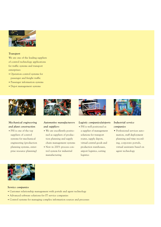

#### *Transport*

We are one of the leading suppliers of control technology applications for traffic systems and transport enterprises:

- **•** Operation control systems for passenger and freight traffic
- **•** Passenger information systems
- **•** Depot management systems



### *Mechanical engineering and plant construction*

**•** PSI is one of the top suppliers of control systems for mechanical engineering (production planning systems, enterprise resource planning)



### *Automotive manufacturers and suppliers*

- **•** We are excellently positioned as suppliers of production planning and supply chain management systems
- **•** New in 2003: process control system for industrial manufacturing



#### *Logistic companies/airports*

- **•** PSI is well positioned as
- a supplier of management solutions for transport routes, supply depots, virtual central goods and production warehouses, airport logistics, sorting logistics



### *Industrial service companies*

• Professional services automation, staff deployment planning and time recording, corporate portals, virtual assistants based on agent technology



#### *Service companies*

- **•** Customer relationship management with portals and agent technology
- **•** Advanced software solutions for IT service companies
- **•** Control systems for managing complex information sources and processes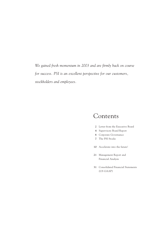*We gained fresh momentum in 2003 and are firmly back on course for success. PSI is an excellent perspective for our customers, stockholders and employees.* 

# Contents

- **2** Letter from the Executive Board
- **4** Supervisory Board Report
- **6** Corporate Governance
- **7** The PSI Stocks
- **10** Accelerate into the future!
- **21** Management Report and Financial Analysis
- **31** Consolidated Financial Statements (US GAAP)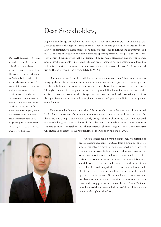**Dr Harald Schrimpf** (39) became a member of the PSI board in July 2002; he is in charge of marketing, sales and technology. He studied electrical engineering at Aachen RWTH, majoring in technical computer sciences; his doctoral thesis was on distributed real-time operating systems. In 1995, he joined DaimlerBenz Aerospace as technical head of military control software. From 1996, he was responsible for several major IT projects, first as department head and then as main department head. In 2001, he joined gedas, a Berlin-based Volkswagen subsidiary, as Center Manager for Software.

# Dear Stockholders,

Eighteen months ago we took up the baton as PSI's new Executive Board. Our immediate target was to reverse the negative trend of the past four years and guide PSI back into the black. Despite exceptionally adverse market conditions we succeeded in turning the company around in 2003 and are in a position to report a balanced operating result. We are proud that the company achieved this in a year that was dominated by economic stagnation and the war in Iraq. Several market segments experienced a stop on orders; some of our competitors were forced to pull out. Against this backdrop, we improved our operating result by over  $\epsilon$ 12 million and tripled the price of our stocks from  $\epsilon$ 1.50 to  $\epsilon$ 4.50.

Our new strategy, "From IT portfolio to control systems enterprise", has been the key in bringing about this turnaround. As announced in our last annual report, we are focusing stringently on PSI's core business, a business which has always had a strong, robust substance. Throughout the entire Group and at every level, profitability determines what we do and the decisions that are taken. With this approach we have streamlined loss-making divisions through direct management and have given the company's profitable divisions even greater scope for action.

We succeeded in bridging order shortfalls in specific divisions by putting in place internal load balancing measures. Our foreign subsidiaries were restructured into distribution hubs for the entire PSI Group, a move which swiftly brought them back into the black. We increased our shareholding to 100 % in almost all the subsidiaries that made a positive contribution to our core business of control systems; all non-strategic shareholdings were sold. These measures will enable us to complete the restructuring of the Group by the end of 2004.

> Our customers benefit from a comprehensive portfolio of process automation control systems from a single supplier. To secure this valuable advantage, we launched a new level of cooperation between PSI's divisions and subsidiaries. Crosssales of software between the business units enable us to offer customers a wide array of services, without necessitating substantial extra R&D input. Parallel processes within the Group were identified and merged; the resources released as a result of this move were used to establish new services. We developed a derivative of our PSIpenta software to automate our own business processes; a version aimed at service companies is currently being prepared for market launch. Since 2003, our four-phase model has been applied successfully to all innovative processes throughout the Group.

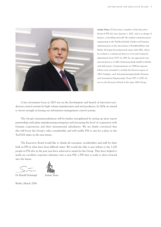

**Armin Stein** (52) has been a member of the Executive Board of PSI AG since January 1, 2001, and is in charge of finance, controlling and staff. He studied communications engineering at the Fachhochschule Gießen and business administration at the universities of Frankfurt/Main and Berlin. He began his professional career with AEG, where he worked as commercial director of several technical departments from 1979. In 1989, he was appointed commercial director of AEG Softwaretechnik GmbH in Berlin with full powers of representation; in 1994 his responsibilities were extended to include the Eastern region of AEG Anlagen- und Automatisierungstechnik (Systems and Automation Engineering). From 1997 to 2000, he was on the Executive Board of the repas AEG Group.

A key investment focus in 2003 was on the development and launch of innovative production control systems for high volume manufacturers and steel producers. In 2004, we intend to invest strongly in honing our information management control systems.

The Group's internationalization will be further strengthened by setting up more export partnerships with plant manufacturing enterprises and increasing the level of cooperation with German corporations and their international subsidiaries. We are firmly convinced that this will boost the Group's value considerably, and will enable PSI to aim for a place in the TecDAX index in the near future.

The Executive Board would like to thank all customers, stockholders and staff for their faith in PSI in what have been difficult times. We would also like to pay tribute to the 1,200 people in PSI who in the past year have achieved so much for the Group. They have helped to mold our excellent corporate substance into a new PSI, a PSI that is ready to drive forward into the future.

Dr Harald Schrimpf Armin Steir

Berlin, March 2004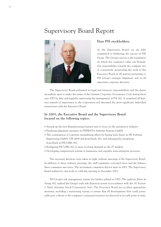# Supervisory Board Report



#### **Dear PSI stockholders,**

As the Supervisory Board, we are fully committed to furthering the success of PSI Group. The Group's success is the foundation on which the company's value can flourish. Our responsibility towards the company lies in consistently monitoring the work of the Executive Board in all matters pertaining to PSI Group's strategic alignment and in all important corporate decisions.

The Supervisory Board performed its legal and statutory responsibilities and the duties incumbent upon it under the terms of the German Corporate Governance Code during fiscal year 2003 by duly and regularly supervising the management of PSI AG. It examined all business matters of importance to the corporation and discussed the most significant individual transactions with the Executive Board.

### **In 2003, the Executive Board and the Supervisory Board focused on the following topics:**

- Setting up the new Manufacturing business unit to focus on the automotive industry
- Finalizing alignment measures in PSIPENTA Software Systems GmbH
- The continuation of corporate streamlining efforts by buying back shares in PK Software Engineering GmbH, GSI mbH and front2back AG, and subsequently integrating front2back in PSI UBIS AG
- Realigning PSI UBIS AG to meet evolving demands in the IT markets
- Developing computerized systems to harmonize and expedite intra-enterprise processes

The necessary decisions were taken in eight ordinary meetings of the Supervisory Board. In addition to these ordinary meetings, the staff committee convened twice and the balance sheet committee met twice. The investment committee did not meet in 2003. The Supervisory Board audited its own work at a full-day meeting in December 2003.

PSI Group's risk management system was further refined in 2003. The auditors, Ernst & Young AG, audited the Group's early risk detection system in accordance with Art. 91 Section 2 AktG (German Stock Corporation Act). The Executive Board put in place appropriate measures, including a monitoring system, to ensure that all developments that could potentially pose a threat to the company's continued existence are detected at an early point in time.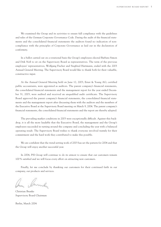We examined the Group and its activities to ensure full compliance with the guidelines and rules of the German Corporate Governance Code. During the audit of the financial statements and the consolidated financial statements the auditors found no indication of noncompliance with the principles of Corporate Governance as laid out in the declaration of conformity.

In a ballot carried out on a rotational basis the Group's employees elected Barbara Simon and Dirk Noß to sit on the Supervisory Board as representatives. The term of the previous employees' representatives, Wolfgang Fischer and Siegfried Hartmann, ended with the 2003 Annual General Meeting. The Supervisory Board would like to thank both for their valuable, constructive input.

At the Annual General Meeting held on June 12, 2003, Ernst & Young AG, certified public accountants, were appointed as auditors. The parent company's financial statements, the consolidated financial statements and the management report for the year ended December 31, 2003, were audited and received an unqualified audit certificate. The Supervisory Board approved the parent company's financial statements, the consolidated financial statements and the management report after discussing them with the auditors and the members of the Executive Board at the Supervisory Board meeting on March 9, 2004. The parent company's financial statements, the consolidated financial statements and the report are thereby adopted.

The prevailing market conditions in 2003 were exceptionally difficult. Against this backdrop, it is all the more laudable that the Executive Board, the management and the Group's employees succeeded in turning around the company and concluding the year with a balanced operating result. The Supervisory Board wishes to thank everyone involved warmly for their commitment and the hard work they contributed to make this possible.

We are confident that the trend-setting work of 2003 has set the pattern for 2004 and that the Group will enjoy another successful year.

In 2004, PSI Group will continue to do its utmost to ensure that our customers remain 100 % satisfied and we will focus every effort on attracting new customers.

Finally, let me conclude by thanking our customers for their continued faith in our company, our products and services.

Annah

Christian Brunke Supervisory Board Chairman

Berlin, March 2004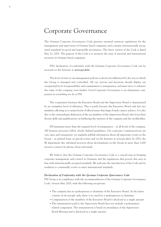# Corporate Governance

The German Corporate Governance Code presents essential statutory regulations for the management and supervision of German listed companies and contains internationally recognized standards for good and responsible governance. The latest version of the Code is dated May 21, 2003. The purpose of the Code is to promote the trust of national and international investors in German listed companies.

PSI's declaration of conformity with the German Corporate Governance Code can be accessed on the Internet at **www.psi.de/ir**.

The level of trust in our management policies is decisively influenced by the way in which the Group is managed and controlled. All our actions and decisions should display our exceptional level of responsibility and commitment to transparency, and must serve to enhance the value of the company even further. Good Corporate Governance is an elementary component in everything we do at PSI.

The cooperation between the Executive Board and the Supervisory Board is characterized by an exemplary level of efficiency. This is partly because the Executive Board only has two members, allowing us to attain levels of effectiveness that larger boards cannot achieve. It is also due to the extraordinary dedication of the six members of the Supervisory Board, who focus their diverse skills and qualifications on furthering the interests of the company and the stockholders.

PSI maintains more than the required level of transparency – at all levels of the company. All business processes follow clearly defined guidelines. Our corporate communications are very open and transparent: we regularly publish information about all important events in the Group – in printed form, at special events and on the Internet at www.psi.de/ir. In 2003, the IR department also informed investors about developments in the Group in more than 1,000 investor contacts by phone, letter and email.

We believe that the German Corporate Governance Code is a crucial step in bringing corporate management and control in Germany and the regulations that govern this area in line with internationally accepted standards. We welcome the introduction of the Code and its readiness to continually evolve to meet international standards.

#### *Declaration of Conformity with the German Corporate Governance Code*

PSI Group is in compliance with the recommendations of the German Corporate Governance Code, Version May 2003, with the following exceptions:

- The company has no spokesperson or chairman of the Executive Board. As the latter consists of two people only, there is no need for a spokesperson or chairman.
- Compensation of the members of the Executive Board is disclosed as a single amount.
- The remuneration paid to the Supervisory Board does not include a performancerelated component. The remuneration is based on attendance of the Supervisory Board Meeting and is disclosed as a single amount.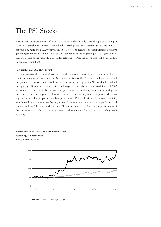# The PSI Stocks

After three consecutive years of losses, the stock markets finally showed signs of reviving in 2003. All benchmark indices showed substantial gains; the German Stock Index DAX improved by more than 1,000 points, which is 37 %. The technology sector displayed positive growth again for the first time. The TecDAX, launched at the beginning of 2003, gained 50 % over the course of the year, while the index relevant for PSI, the Technology All Share index, gained more than 60 %.

#### *PSI stocks overtake the market*

PSI stocks started the year at  $\epsilon$ 1.50 and over the course of the next twelve months peaked at  $$5.38$ , an increase of more than 250%. The publication of the 2002 financial statements and the presentation of our new manufacturing control technology at CeBIT in March heralded the upswing: PSI stocks kicked free of the sideways trend which had dominated since fall 2002 and rose above the rest of the market. The publication of the first quarter figures in May saw the continuation of the positive development, with the stocks going on to peak at the yearhigh. After a prolonged period of sideways movement PSI stocks finished the year at  $\epsilon$ 4.50, exactly tripling in value since the beginning of the year and significantly outperforming all relevant indices. This clearly shows that PSI has bounced back after the disappointments of the past years, and is about to be rediscovered by the capital markets as an attractive high-tech company.

**Performance of PSI stocks in 2003 compared with Technology All Share index** in %, January 1 = 100 %



 $-PSI$   $\longrightarrow$  Technology All Share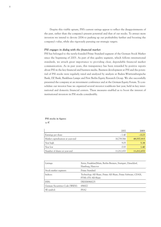Despite this visible upturn, PSI's current ratings appear to reflect the disappointments of the past, rather than the company's present potential and that of our stocks. To attract more investors we intend to devote 2004 to pushing up our profitability further and boosting the company's value, while also rigorously pursuing our strategic targets.

#### *PSI engages in dialog with the financial market*

PSI has belonged to the newly-founded Prime Standard segment of the German Stock Market since the beginning of 2003. As part of this quality segment, which follows international standards, we attach great importance to providing clear, dependable financial market communication. As in past years, this transparency has been rewarded by positive reports about PSI in the key financial and business media. Business development at PSI and the potential of PSI stocks were regularly rated and analyzed by analysts at Baden-Württembergische Bank, DZ Bank, Bankhaus Lampe and First Berlin Equity Research Group. We also successfully presented the company at an investment conference and at the German Equity Forum. To consolidate our investor base we organized several investor roadshows last year, held in key international and domestic financial centers. These measures enabled us to boost the interest of institutional investors in PSI stocks considerably.

**PSI stocks in figures** in  $\epsilon$ 

|                                   | 2002       | 2003       |
|-----------------------------------|------------|------------|
| Earnings per share                | $-1.40$    | $-0.23$    |
| Market capitalization at year-end | 16,739,566 | 49,557,915 |
| Year high                         | 9.05       | 5.38       |
| Year low                          | 0.83       | 1.40       |
| Number of shares at year-end      | 11,012,870 | 11,012,870 |

| Listings:                      | Xetra, Frankfurt/Main, Berlin-Bremen, Stuttgart, Düsseldorf,<br>Hamburg, Hanover   |
|--------------------------------|------------------------------------------------------------------------------------|
| Stock market segment:          | Prime Standard                                                                     |
| Indices:                       | Technology All Share, Prime All Share, Prime Software, CDAX,<br>FTSE eTX All-Share |
| ISIN:                          | DE0006968225                                                                       |
| German Securitites Code (WKN): | 696822                                                                             |
| SE symbol:                     | PSA <sub>2</sub>                                                                   |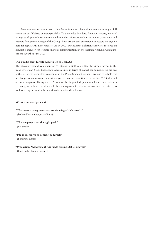Private investors have access to detailed information about all matters impacting on PSI stocks on our Website at **www.psi.de/ir**. This includes key data, financial reports, analysts' ratings, stock price charts, our financial calendar, information about corporate governance and extracts from press coverage of the Group. Both private and professional investors can sign up here for regular PSI news updates. As in 2002, our Investor Relations activities received an honorable mention for credible financial communications at the German Financial Communications Award in June 2003.

#### *Our middle-term target: admittance to TecDAX*

The above-average development of PSI stocks in 2003 catapulted the Group further to the front of German Stock Exchange's index ratings; in terms of market capitalization we are one of the 50 largest technology companies in the Prime Standard segment. We aim to uphold this level of performance over the next few years, then gain admittance to the TecDAX index and secure a long-term listing there. As one of the largest independent software enterprises in Germany, we believe that this would be an adequate reflection of our true market position, as well as giving our stocks the additional attention they deserve.

#### **What the analysts said:**

*"The restructuring measures are showing visible results"* (Baden-Württembergische Bank)

- *"The company is on the right path"*  (DZ Bank)
- *"PSI is on course to achieve its targets"*  (Bankhaus Lampe)
- *"Production Management has made commendable progress"* (First Berlin Equity Research)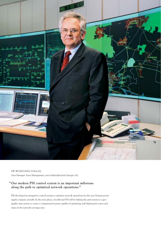

#### DR WOLFGANG GALLAS,

Area Manager Asset Management, envia Mitteldeutsche Energie AG

# **"Our modern PSI control system is an important milestone along the path to optimized network operations."**

PSI developed an integrative control system to optimize network operations for the east German power supply company enviaM. In the next phase, enviaM and PSI will be linking the grid system to a geographic data system to create a computerized system capable of optimizing staff deployment routes and times in the network coverage area.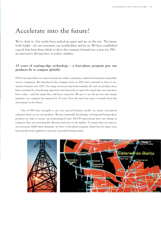# Accelerate into the future!

We've done it. Our results have picked up again and are on the rise. The future looks bright – for our customers, our stockholders and for us. We have established a good, firm basis from which to drive the company forward into a new era. PSI – an innovative driving force in today's markets.

### **35 years of cutting-edge technology – a four-phase program gets our products fit to compete globally**

PSI Group specializes in control systems for utility companies, industrial enterprises and public service companies. We introduced this stringent focus in 2002 and continued to drive it forward in business year 2003. Our range of services has been rounded off, and our products have been extended by introducing important new functions to meet the needs that our customers have today – and the needs they will have tomorrow. We put to use the proven and unique expertise our company has amassed in 35 years. Now the time has come to benefit from this investment in the future.

One of PSI's key strengths is our very special business model: we create customized solutions based on our own products. We are continually developing, evolving and honing these products in order to secure our technological lead. All PSI innovations have two things in common: they are economically effective and close to the market. To ensure that our innovative processes fulfill these demands, we have a four-phase program which has for many years been productively applied in our most successful business units.

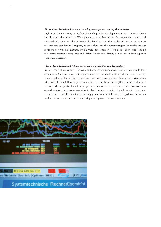#### *Phase One: Individual projects break ground for the rest of the industry*

Right from the very start, in the first phase of a product development project, we work closely with leading pilot customers. We supply a solution that mirrors the customer's business and value-added processes. The customer also benefits from the results of our cooperation on research and standardized projects, as these flow into the current project. Examples are our solutions for wireless markets, which were developed in close cooperation with leading telecommunications companies and which almost immediately demonstrated their superior economic efficiency.

#### *Phase Two: Individual follow-on projects spread the new technology*

In the second phase we apply the skills and product components of the pilot project to followon projects. Our customers in this phase receive individual solutions which reflect the very latest standard of knowledge and are based on proven technology. PSI's own expertise grows with each of these follow-on projects, and this in turn benefits the pilot customers who have access to this expertise for all future product extensions and versions. Such close-knit cooperation makes our systems attractive for both customer circles. A good example is our new maintenance control system for energy supply companies which was developed together with a leading network operator and is now being used by several other customers.

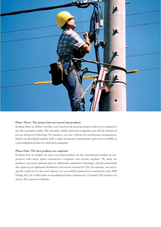

#### *Phase Three: The project hits are turned into products*

In phase three we define a product core based on the previous projects; this core is adapted to suit the customer's needs. The customer, mainly mid-sized companies, gets all the benefits of proven advanced technology. For instance, our new software for maintenance management, which was developed together with a major automotive manufacturer and is now available as a preconfigured product for mid-sized companies.

#### *Phase Four: The best products are exported*

In phase four we launch our most successful products on the international market in conjunction with major plant construction companies and systems suppliers. By using our products, our export partners gain an additional competitive advantage, and the partnership also opens up an additional distribution and service channel for PSI. For instance, our sectorspecific solutions for the steel industry are successfully marketed in conjunction with SMS Demag AG, the world leader in metallurgical plant construction. Currently, PSI products are used in 40 countries worldwide.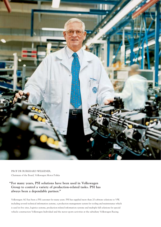

PROF DR BURKHARD WELKENER, Chairman of the Board, Volkswagen Motor Polska

### **"For many years, PSI solutions have been used in Volkswagen Group to control a variety of production-related tasks. PSI has always been a dependable partner."**

Volkswagen AG has been a PSI customer for many years. PSI has supplied more than 20 software solutions to VW, including several technical information systems, a production management system for tooling and maintenance which is used in five sites, logistics systems, production-related information systems and multiple full solutions for special vehicle construction Volkswagen Individual and the motor sports activities at the subsidiary Volkswagen Racing.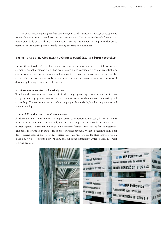By consistently applying our four-phase program to all our new technology developments we are able to open up a very broad base for our products. Our customers benefit from a comprehensive skills pool within their own sector. For PSI, this approach improves the profit potential of innovative products while keeping the risks to a minimum.

### **For us, using synergies means driving forward into the future together!**

In over three decades, PSI has built up a very good market position in clearly defined market segments, an achievement which has been helped along considerably by our decentralized, sector-oriented organization structure. The recent restructuring measures have restored the company's focus to the essentials: all corporate units concentrate on our core business of developing leading process control systems.

#### *We share our concentrated knowledge ...*

To release the vast synergy potential within the company and tap into it, a number of crosscompany working groups were set up last year to examine development, marketing and controlling. The results are used to define company-wide standards, bundle competencies and prevent overlaps.

#### *... and deliver the results to all our markets*

At the same time, we introduced a stronger lateral cooperation in marketing between the PSI business units. The aim is to actively market the Group's entire portfolio across all PSI's market segments. This opens up an even wider array of innovative solutions for our customers. The benefits for PSI lie in our ability to boost our sales potential without generating additional development costs. Examples of this efficient intermeshing are our logistics software, which is used in RWE's electricity network unit, and our agent technology, which is used in several logistics projects.

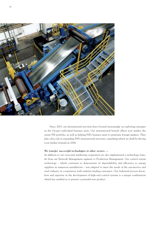

Since 2003, our international activities have focused increasingly on exploiting synergies in the Group's individual business units. Our international branch offices now market the entire PSI portfolio, as well as helping PSI's business units to penetrate foreign markets. They play a key role in expanding PSI's international activities, something which we shall be driving even further forward in 2004.

#### *We transfer successful technologies to other sectors ...*

In addition to our cross-unit marketing cooperation we also implemented a technology transfer from our Network Management segment to Production Management. Our control system technology – which continues to demonstrate its dependability and efficiency to energy suppliers in numerous installations – was adapted to meet the needs of the automotive and steel industry in cooperation with industry-leading customers. Our industrial process knowhow and expertise in the development of high-end control systems is a unique combination which has enabled us to present a powerful new product.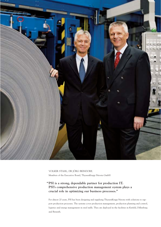

VOLKER STAHL, DR JÖRG BEINDORF, Members of the Executive Board, ThyssenKrupp Nirosta GmbH

### **"PSI is a strong, dependable partner for production IT. PSI's comprehensive production management system plays a crucial role in optimizing our business processes."**

For almost 20 years, PSI has been designing and supplying ThyssenKrupp Nirosta with solutions to support production processes. The systems cover production management, production planning and control, logistics and energy management in steel mills. They are deployed in the facilities in Krefeld, Dillenburg and Benrath.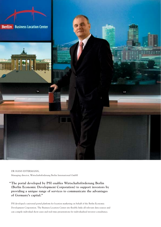

DR HANS ESTERMANN, Managing director, Wirtschaftsförderung Berlin International GmbH

**"The portal developed by PSI enables Wirtschaftsförderung Berlin (Berlin Economic Development Corporation) to support investors by providing a unique range of services to communicate the advantages of Germany's capital."**

PSI developed a universal portal platform for location marketing on behalf of the Berlin Economic Development Corporation. The Business Location Center site flexibly links all relevant data sources and can compile individual show-cases and real-time presentations for individualized investor consultancy.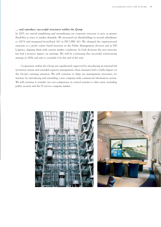#### *... and reproduce successful structures within the Group*

In 2003, we started simplifying and streamlining our corporate structure to give us greater flexibility to react to market demands. We increased our shareholdings in several subsidiaries to 100 % and integrated front2back AG in PSI UBIS AG. We changed the organizational structure to a profit center based structure in the Public Management division and at PSI Logistics, aligning them with current market conditions. In both divisions the new structure has had a positive impact on earnings. We will be continuing this successful restructuring strategy in 2004, and aim to conclude it by the end of the year.

Cooperation within the Group was significantly improved by introducing an internal bid invitation system and extended capacity management; these measures had a visible impact on the Group's earnings situation. We will continue to align our management structures, for instance by introducing and extending a new company-wide commercial information system. We will continue to transfer our core competence in control systems to other areas, including public security and the IT service company market.



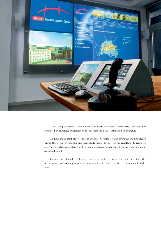

The Group's corporate communications work was further harmonized and this has generated an enhanced awareness on the markets and a substantial gain in efficiency.

We have made great progress in our endeavor to unite isolated strengths and knowledge within the Group, to rebundle and successfully market them. This has enabled us to reinforce our control system competence still further, an increase which benefits our customers and our stockholders alike.

The path we elected to take last year has proved itself to be the right one. With the superb groundwork of the past year, we now have a solid base from which to accelerate into the future.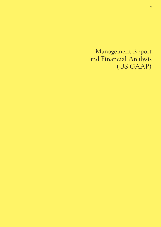Management Report and Financial Analysis (US GAAP)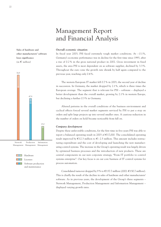**Sales of hardware and other manufacturers' software loses significance**  $(in \in \text{million})$ 





Licenses Software production and maintenance

# Management Report and Financial Analysis

#### *Overall economic situation*

In fiscal year 2003, PSI faced extremely tough market conditions. At – 0.1%, Germany's economic performance was in decline for the first time since 1993, after a rise of 0.2 % in the gross national product in 2002. Gross investment in fixed assets, the area PSI is most dependent on as software supplier, declined by 3.3 %. Throughout the euro zone the growth rate shrank by half again compared to the previous year, reaching only 0.4 %.

The western European IT market fell 0.7 % in 2003, the second year of decline in succession. In Germany, the market dropped by 2.1%, which is three times the European average. The segment that is relevant for PSI – software – displayed a better development than the overall market, growing by 2.1% in western Europe, but declining a further 0.3 % in Germany.

Altered patterns in the overall conditions of the business environment and cyclical effects forced several market segments serviced by PSI to put a stop on orders and split large projects up into several smaller ones. A cautious reduction in the number of orders on hold became noticeable from fall on.

#### *Company development*

Despite these unfavorable conditions, for the first time in five years PSI was able to report a balanced operating result in 2003 of  $\epsilon$ 17,000. The consolidated operating result improved by  $E12.3$  million to  $E-2.5$  million. This amount includes restructuring expenditure and the cost of developing and launching the new manufacturing control systems. The increase in the Group's operating result was largely driven by optimized business processes and the introduction of new products. These are central components in our new corporate strategy, "From IT portfolio to control systems enterprise". Our key focus is on our core business of IT control systems for process automation.

Consolidated turnover dropped by 9% to  $\in$  137.7 million (2002:  $\in$  150.7 million). This is chiefly the result of the decline in sales of hardware and other manufacturers' software. As in previous years, the development of the Group's three segments – Network Management, Production Management and Information Management – displayed varying growth rates.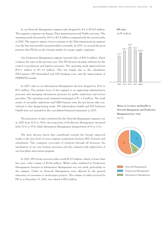In our Network Management segment sales dropped by 4% to  $\epsilon$ 74.9 million. This segment comprises our Energy, Telecommunications and Traffic activities. The operating result decreased by 16 % to  $\epsilon$ 3.8 million compared with the record results of 2002. The negative impact of poor earnings in the Telecommunications segment over the first nine months was particularly noticeable. In 2003, we secured the good position that PSI has in the German market for energy supply companies.

Our Production Management segment reported sales of  $E$ 47.8 million, which is almost the same as the previous year. This PSI division develops solutions for the control of production and logistics processes. The operating result improved from €13.1 million to  $∈$ -1.9 million. This was largely due to the subsidiaries PSI-Logistics, PSI Switzerland and GSI breaking even, and the improvement of PSIPENTA's results.

In 2003, sales in our Information Management division dropped by 38 % to  $E15$  million. The primary focus of this segment is on supporting administrative processes and managing information processes for public authorities and service providers. The operating result remained unchanged at  $\epsilon$  – 1.9 million. The weak results of our public authorities and UBIS business were the key factors that contributed to this disappointing result. PSI Infrastruktur GmbH and PSI Solutions GmbH were not included in the consolidated financial statements in 2003.

The proportion of sales contributed by the Network Management segment rose in 2003 from 52 % to 54 %; the proportion of Production Management increased from 32 % to 35 %; while Information Management dropped from 16 % to 11%.

The most decisive factor that contributed towards the Group's improved results is the new level of cross-company cooperation between PSI's divisions and subsidiaries. This comprises cross-sales of solutions through all divisions, the automation of our own business processes and the company-wide application of our four-phase innovations program.

In 2003, PSI Group received orders worth  $\epsilon$ 119 million, which is lower than last year's order volume of  $E136$  million. While orders stabilized in Production Management, business in Information Management was very slack, particularly in the summer. Orders in Network Management were affected by the general reluctance of customers to award major projects. The volume of orders received by PSI as at December 31, 2003, was valued at  $\epsilon$ 67 million.



1999 2000 2001 2002 **2003**

**Shares of revenues attributable to Network Management and Production Management have risen** (in %)

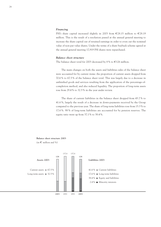#### *Financing*

PSI's share capital increased slightly in 2003 from  $\epsilon$ 28.15 million to  $\epsilon$ 28.19 million. This is the result of a resolution passed at the annual general meeting to increase the share capital out of retained earnings in order to even out the nominal value of non-par value shares. Under the terms of a share buyback scheme agreed at the annual general meeting 17,919 PSI shares were repurchased.

#### *Balance sheet structure*

The balance sheet total for 2003 decreased by 8% to  $\in$  126 million.

The main changes on both the assets and liabilities sides of the balance sheet were accounted for by current items: the proportion of current assets dropped from 70.6 % to 67.5 % of the balance sheet total. This was largely due to a decrease in unfinished goods and services resulting from the application of the percentage-ofcompletion method, and also reduced liquidity. The proportion of long-term assets rose from 29.4 % to 32.5 % in the year under review.

The share of current liabilities in the balance sheet dropped from 45.7 % to 41.6 %, largely the result of a decrease in down-payments received by the Group compared to the previous year. The share of long-term liabilities rose from 15.3 % to 17.6 %. 98 % of long-term liabilities are accounted for by pension reserves. The equity ratio went up from 37.1% to 38.4 %.



#### **Balance sheet structure 2003** (in  $\epsilon$  million and %)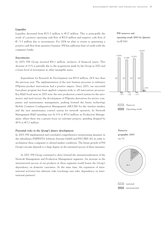#### *Liquidity*

Liquidity decreased from  $\epsilon$ 21.5 million to  $\epsilon$ 17 million. This is principally the result of a positive operating cash flow of  $\epsilon$ 0.9 million and negative cash flow of  $\epsilon$ – 5.3 million due to investments. For 2004 we plan to return to generating a positive cash flow from operative business. PSI has sufficient lines of credit with the company's banks.

**PSI turnover and operating result 2003 by Quarter**  $(in \in 000)$ 



In 2003, PSI Group invested  $\epsilon$ 6.1 million, inclusive of financial assets. This decrease of 21% is partially due to the acquisitions made by the Group in 2002 and a lower level of investment in other intangible assets.

Expenditure for Research & Development was  $\epsilon$ 8.8 million, 24 % less than the previous year. The implementation of the new business processes to refinance PSIpenta product innovations had a positive impact. Since 2003, our successful four-phase program has been applied company-wide to all innovations processes. Key R&D focal areas in 2003 were the new production control system for the automotive and steel sectors; the development of PSIpenta derivatives for service companies and maintenance management; pushing forward the future technology Mobile Common Configuration Management (MCCM) for the wireless market; and the new maintenance control system for network operators. In Network Management R&D spending rose by 6% to  $\epsilon$ 5.6 million; in Production Management, where there was a greater focus on customer projects, spending dropped by 49 % to  $\epsilon$ 3.2 million.

#### *Potential risks to the Group's future development*

In 2003, PSI implemented and concluded comprehensive restructuring measures in the subsidiaries PSIPENTA Software Systems GmbH and PSI UBIS AG in order to acclimatize these companies to altered market conditions. The future growth of PSI Group's income depends to a large degree on the sustained success of these measures.

In 2003, PSI Group continued to drive forward the internationalization of the Network Management and Production Management segments. An increase in the international success of our products in these segments would lessen the Group's dependency on domestic customers. At the same time, the expansion of international activities has inherent risks (exchange rate risks, dependency on international partners).





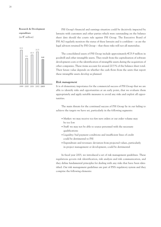**Research & Development expenditure**  $(in \in \text{million})$ 



PSI Group's financial and earnings situation could be decisively impacted by lawsuits with customers and other parties which were outstanding on the balance sheet date should the courts rule against PSI Group. The Executive Board of PSI AG regularly monitors the status of these lawsuits and is confident – as are the legal advisors retained by PSI Group – that these risks will not all materialize.

The consolidated assets of PSI Group include approximately  $E$ 25.9 million in goodwill and other intangible assets. They result from the capitalization of software development costs or the identification of intangible assets during the acquisition of other companies. These items account for around 20.5 % of the balance sheet total. Their future value depends on whether the cash flows from the units that report these intangible assets develop as planned.

#### *Risk management*

It is of elementary importance for the commercial success of PSI Group that we are able to identify risks and opportunities at an early point, that we evaluate them appropriately and apply suitable measures to avoid any risks and exploit all opportunities.

The main threats for the continued success of PSI Group lie in our failing to achieve the targets we have set, particularly in the following segments:

- Market: we may receive too few new orders or our order volume may be too low
- Staff: we may not be able to source personnel with the necessary qualifications
- Liquidity: bad payment conditions and insufficient lines of credit could be detrimental to PSI
- Expenditure and revenues: deviation from projected values, particularly in project management or development, could be detrimental

In fiscal year 2003, we introduced a set of risk management guidelines. These regulations govern risk identification, risk analysis and risk communication, and they define fundamental principles for dealing with any risks that have been identified. Our risk management guidelines are part of PSI's regulatory system and they comprise the following elements: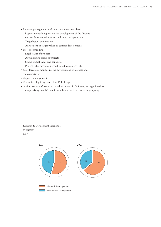- Reporting at segment level or at sub-department level
	- Regular monthly reports on the development of the Group's
	- net worth, financial position and results of operations
	- Target/actual comparisons
	- Adjustment of target values to current developments
- Project controlling
	- Legal status of projects
	- Actual results status of projects
	- Status of staff input and capacities
	- Project risks, measures needed to reduce project risks
- Sales forecasts; monitoring the development of markets and the competition
- Capacity management
- Centralized liquidity control for PSI Group
- Senior executives/executive board members of PSI Group are appointed to the supervisory boards/councils of subsidiaries in a controlling capacity

#### **Research & Development expenditure**

**by segment**

(in %)

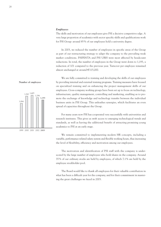#### *Employees*

The skills and motivation of our employees give PSI a decisive competitive edge. A very large proportion of academics with sector specific-skills and qualifications work for PSI Group: around 85 % of our employees hold a university degree.

In 2003, we reduced the number of employees in specific areas of the Group as part of our restructuring strategy to adapt the company to the prevailing weak market conditions. PSIPENTA and PSI UBIS were most affected by headcount reductions. In total, the number of employees in the Group went down to 1,193, a reduction of 101 compared to the previous year. Turnover per employee remained almost unchanged at around  $\text{\large\ensuremath{\in}} 115,000$ .

We are fully committed to training and developing the skills of our employees by providing internal and external training programs. Training measures have focused on specialized training and on enhancing the project management skills of our employees. Cross-company working groups have been set up to focus on technology, infrastructure, quality management, controlling and marketing, enabling us to promote the exchange of knowledge and technology transfer between the individual business units in PSI Group. This unleashes synergies, which facilitates an even spread of capacities throughout the Group.

For many years now PSI has cooperated very successfully with universities and research institutes. This gives us swift access to emerging technological trends and standards, as well as having the additional benefit of attracting promising young academics to PSI at an early stage.

We remain committed to implementing modern HR concepts, including a variable, performance-related salary system and flexible working hours, thus increasing the level of flexibility, efficiency and motivation among our employees.

The motivation and identification of PSI staff with the company is underscored by the large number of employees who hold shares in the company. Around 35 % of our ordinary stocks are held by employees, of which 7.1% are held by the employee stockholder pool.

The Board would like to thank all employees for their valuable contribution in what has been a difficult year for the company, and for their commitment in mastering the great challenges we faced in 2003.

#### **Number of employees**

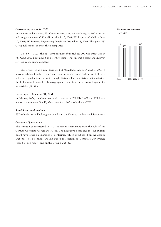#### *Outstanding events in 2003*

 $(in \in 000)$ 

**Turnover per employee**

Group full control of these three companies. On July 1, 2003, the operative business of front2back AG was integrated in

In the year under review, PSI Group increased its shareholdings to 100 % in the following companies: GSI mbH on March 25, 2003; PSI Logistics GmbH on June 19, 2003; PK Software Engineering GmbH on December 18, 2003. This gives PSI

PSI UBIS AG. This move bundles PSI's competence in Web portals and Internet services in one single company.

PSI Group set up a new division, PSI Manufacturing, on August 1, 2003, a move which bundles the Group's many years of expertise and skills in control technology and production control in a single division. The new division's first offering, the PSImcontrol control technology system, is an innovative control system for industrial applications.

#### *Events after December 31, 2003*

In February 2004, the Group resolved to transform PSI UBIS AG into PSI Information Management GmbH, which remains a 100 % subsidiary of PSI.

#### *Subsidiaries and holdings*

PSI's subsidiaries and holdings are detailed in the Notes to the Financial Statements.

#### *Corporate Governance*

The Group was monitored in 2003 to ensure compliance with the rule of the German Corporate Governance Code. The Executive Board and the Supervisory Board have issued a declaration of conformity, which is published on the Group's Website. The exceptions are laid out in the section on Corporate Governance (page 6 of this report) and on the Group's Website.

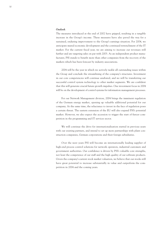#### *Outlook*

The measures introduced at the end of 2002 have gripped, resulting in a tangible increase in the Group's income. These measures have also paved the way for a sustained, enduring improvement to the Group's earnings situation. For 2004, we anticipate muted economic development and the continued retrenchment of the IT market. For the current fiscal year, we are aiming to increase our revenues still further and are targeting sales on par with 2003. As an independent product manufacturer, PSI stands to benefit more than other companies from the recovery of the markets which has been forecast by industry associations.

2004 will be the year in which we actively tackle all outstanding issues within the Group and conclude the streamlining of the company's structures. Investment in our core competencies will continue unabated, and we will be transferring our successful control system technology to other market segments. We are confident that this will generate crucial future growth impulses. One investment focus in 2004 will be on the development of control systems for information management processes.

For our Network Management division, 2004 brings the imminent regulation of the German energy market, opening up valuable additional potential for our company. At the same time, the reluctance to invest in the face of regulation poses a certain threat. The eastern extension of the EU will also expand PSI's potential market. However, we also expect the accession to trigger the start of fiercer competition in the programming and IT services sector.

We will continue the drive for internationalization started in previous years with our existing partners, and intend to set up more partnerships with plant construction companies, German corporations and their foreign subsidiaries.

Over the next years PSI will become an internationally leading supplier of high-end process control solutions for network operators, industrial customers and government authorities. Our confidence is driven by PSI's valuable core strengths, not least the competence of our staff and the high quality of our software products. Given the company's current stock market valuation, we believe that our stocks still have great potential to increase substantially in value and outperform the competition in 2004 and the coming years.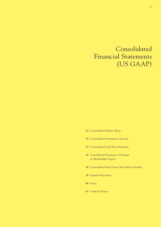# Consolidated Financial Statements (US GAAP)

- Consolidated Balance Sheet
- Consolidated Statement of Income
- Consolidated Cash Flow Statement
- Consolidated Statement of Changes in Shareholders' Equity
- Consolidated Fixed Assets Movement Schedule
- Segment Reporting
- Notes
- Auditor's Report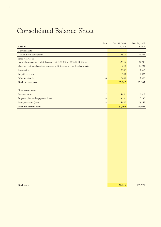# Consolidated Balance Sheet

| Note<br><b>ASSETS</b>                                                                         | Dec. 31, 2003<br>$EUR$ $\Bbbk$ | Dec. 31, 2002<br>EUR k |
|-----------------------------------------------------------------------------------------------|--------------------------------|------------------------|
| <b>Current</b> assets                                                                         |                                |                        |
| Cash and cash equivalents                                                                     | 16,970                         | 21,532                 |
| Trade receivables                                                                             |                                |                        |
| net of allowances for doubtful accounts of EUR 330 k (2002: EUR 369 k)                        | 29,535                         | 29,938                 |
| Costs and estimated earnings in excess of billings on uncompleted contracts<br>$\overline{4}$ | 31,640                         | 36,723                 |
| $\mathfrak{S}$<br>Inventories                                                                 | 2,787                          | 3,662                  |
| Prepaid expenses                                                                              | 1,709                          | 1,882                  |
| Other receivables<br>$\sqrt{6}$                                                               | 2,406                          | 3,368                  |
| Total current assets                                                                          | 85,047                         | 97,105                 |
|                                                                                               |                                |                        |
| Non-current assets                                                                            |                                |                        |
| $\overline{7}$<br>Financial assets                                                            | 5,851                          | 6,015                  |
| Property, plant and equipment (net)<br>$8\,$                                                  | 9,291                          | 10,296                 |
| Intangible assets (net)<br>$8\,$                                                              | 25,857                         | 24,155                 |
| Total non-current assets                                                                      | 40,999                         | 40,466                 |
|                                                                                               |                                |                        |
| <b>Total assets</b>                                                                           | 126,046                        | 137,571                |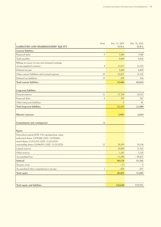| Note                                                     | Dec. 31, 2003 | Dec. 31, 2002 |
|----------------------------------------------------------|---------------|---------------|
| LIABILITIES AND SHAREHOLDERS' EQUITY                     | EUR k         | EUR k         |
| <b>Current liabilities</b>                               |               |               |
| $\overline{9}$<br>Financial debts                        | 5,360         | 3,540         |
| Trade payables                                           | 8,469         | 8,616         |
| Billings in excess of costs and estimated earnings       |               |               |
| on uncompleted contracts<br>$\overline{4}$               | 11,812        | 22,120        |
| Deferred income                                          | 5,649         | 6,499         |
| Other current liabilities and accrued expenses<br>10     | 20,477        | 21,105        |
| Deferred tax liabilities<br>15                           | 679           | 934           |
| <b>Total current liabilities</b>                         | 52,446        | 62,814        |
|                                                          |               |               |
| Long-term liabilities                                    |               |               |
| 11<br>Pension reserves                                   | 21,734        | 20,525        |
| $\overline{9}$<br>Financial debts                        | 393           | 522           |
| Other long-term liabilities                              | $\mathcal{O}$ | 41            |
| Total long-term liabilities                              | 22,127        | 21,088        |
|                                                          |               |               |
| Minority interests                                       | 2,981         | 2,624         |
|                                                          |               |               |
| Commitments and contingencies<br>14                      |               |               |
|                                                          |               |               |
| Equity                                                   |               |               |
| Subscribed capital; EUR 2.56 calculated par value;       |               |               |
| authorized shares 3,879,684 (2002: 3,879,684);           |               |               |
| issued shares 11,012,870 (2002: 11,012,870);             |               |               |
| outstanding shares 10,994,951 (2002: 11,012,870)<br>12   | 28,193        | 28,154        |
| Capital reserves                                         | 30,898        | 71,765        |
| Other reserves                                           | 1,181         | 1,220         |
| Accumulated loss                                         | $-11,098$     | $-49,437$     |
| Subtotal                                                 | 49,174        | 51,702        |
| Treasury stock                                           | $-73$         | $\mathbb O$   |
| Accumulated other comprehensive income<br>$\overline{c}$ | $-609$        | $-657$        |
| <b>Total equity</b>                                      | 48,492        | 51,045        |
|                                                          |               |               |
|                                                          |               |               |
| Total equity and liabilities                             | 126,046       | 137,571       |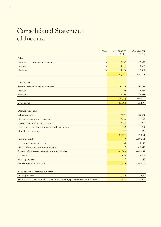# Consolidated Statement of Income

| Note                                                                                     | Dec. 31, 2003<br>EUR k | Dec. 31, 2002<br>EUR k |
|------------------------------------------------------------------------------------------|------------------------|------------------------|
| <b>Sales</b>                                                                             |                        |                        |
| Software production and maintenance<br>16                                                | 117,187                | 122,689                |
| 16<br>Licenses                                                                           | 5,292                  | 7,418                  |
| Hardware<br>16                                                                           | 15,173                 | 20,608                 |
|                                                                                          | 137,652                | 150,715                |
| Cost of sales                                                                            |                        |                        |
| Software production and maintenance                                                      | 91,343                 | 99,755                 |
| Licenses                                                                                 | 1,295                  | 2,592                  |
| Hardware                                                                                 | 13,106                 | 17,563                 |
|                                                                                          | 105,744                | 119,910                |
| Gross profit                                                                             | 31,908                 | 30,805                 |
| <b>Operating expenses</b>                                                                |                        |                        |
| Selling expenses                                                                         | 17,095                 | 21,232                 |
| General and administrative expenses                                                      | 7,225                  | 10,152                 |
| Research and development costs, net                                                      | 7,556                  | 10,916                 |
| Depreciation of capitalized software development costs                                   | 562                    | 713                    |
| Other income and expenses                                                                | $-547$                 | 226                    |
|                                                                                          | 31,891                 | 43,239                 |
| <b>Operating result</b>                                                                  | 17                     | $-12,434$              |
| Interest and investment result                                                           | $-1,565$               | $-1,136$               |
| Effect of change in accounting standards                                                 | $\mathcal{O}$          | $-5,395$               |
| Income before income taxes and minority interests                                        | $-1,548$               | $-18,965$              |
| 15<br>Income taxes                                                                       | $-623$                 | 4,073                  |
| Minority interests                                                                       | $-357$                 | 82                     |
| Net Group loss for the year                                                              | $-2,528$               | $-14,810$              |
| Basic and diluted earnings per share                                                     |                        |                        |
| in euro per share                                                                        | $-0.23$                | $-1.40$                |
| Share basis for calculation of basic and diluted earnings per share (thousand of shares) | 11,011                 | 10,601                 |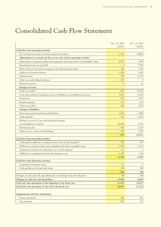# Consolidated Cash Flow Statement

| Dec. 31, 2003                                                                       |               | Dec. 31, 2002 |
|-------------------------------------------------------------------------------------|---------------|---------------|
|                                                                                     | EUR k         | EUR k         |
| Cash flow from operating activities                                                 |               |               |
| Net Group loss for the year before minority interests                               | $-2,171$      | $-14,892$     |
| Adjustments to reconcile net loss to net cash used in operating activities          |               |               |
| Depreciation of property, plant and equipment and amortization on intangible assets | 4,713         | 5,399         |
| Impairment losses on goodwill                                                       | $\mathcal{O}$ | 5,395         |
| Write-downs of associated companies and other financial assets                      | 720           | 1,530         |
| Addition to pension reserves                                                        | 1,209         | 1,581         |
| Deferred taxes                                                                      | $-255$        | $-4,175$      |
| Other non cash-related expenses                                                     | $-327$        | $\Omega$      |
| Minority interests                                                                  | $\mathcal{O}$ | 82            |
| Changes in assets                                                                   |               |               |
| Trade receivables                                                                   | 403           | 15,105        |
| Costs and estimated earnings in excess of billings on uncompleted contracts         | 5,083         | $-1,300$      |
| Inventories                                                                         | 875           | 4,355         |
| Prepaid expenses                                                                    | 173           | $-814$        |
| Other receivables                                                                   | 962           | 3,293         |
| Changes in liabilities                                                              |               |               |
| Short-term operational financial liabilities                                        | 1,820         | $-3,409$      |
| Trade payables                                                                      | $-147$        | $-6,825$      |
| Billings in excess of costs and estimated earnings                                  |               |               |
| on uncompleted contracts                                                            | $-10,308$     | 5,792         |
| Deferred income                                                                     | $-850$        | 2,315         |
| Other reserves and accrued liabilities                                              | $-970$        | 1,089         |
|                                                                                     | 930           | 14,521        |
| Cash flow from investing activities                                                 |               |               |
| Cash paid for additions to financial assets (net of cash acquired)                  | $-320$        | $-818$        |
| Additions to property, plant and equipment and other intangible assets              | $-3,542$      | $-4,516$      |
| Payment for purchase of companies, net of cash acquired                             | $-77$         | $\Omega$      |
| Additions to capitalized software development costs                                 | $-1,399$      | $-628$        |
|                                                                                     | $-5,338$      | $-5,962$      |
| Cash flow from financing activities                                                 |               |               |
| Acquisition of treasury stock                                                       | $-73$         | $\circ$       |
| Cash paid/received from bank loans                                                  | $-129$        | 398           |
|                                                                                     | $-202$        | 398           |
| Changes in cash and cash equivalents due to exchange rates and valuation            | 48            | $-298$        |
| Changes in cash and cash equivalents                                                | $-4,562$      | 8,659         |
| Cash and cash equivalents at the beginning of the fiscal year                       | 21,532        | 12,873        |
| Cash and cash equivalents at the end of the fiscal year                             | 16,970        | 21,532        |
|                                                                                     |               |               |
| Supplemental cash flow information                                                  |               |               |
| Interest payments                                                                   | 392           | 401           |
| Tax payments                                                                        | 837           | 203           |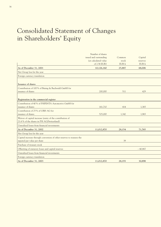# Consolidated Statement of Changes in Shareholders' Equity

|                                                                       | Number of shares       |        |           |  |
|-----------------------------------------------------------------------|------------------------|--------|-----------|--|
|                                                                       | issued and outstanding | Common | Capital   |  |
|                                                                       | (at calculated value   | stock  | reserves  |  |
|                                                                       | of 2.56 EUR)           | EUR k  | EUR k     |  |
| As of December 31, 2001                                               | 10,126,160             | 25,887 | 68,006    |  |
| Net Group loss for the year                                           |                        |        |           |  |
| Foreign currency translation                                          |                        |        |           |  |
| Issuance of shares                                                    |                        |        |           |  |
| Contribution of 100% of Büsing & Buchwald GmbH for                    |                        |        |           |  |
| issuance of shares                                                    | 200,000                | 511    | 429       |  |
|                                                                       |                        |        |           |  |
| Registration in the commercial register                               |                        |        |           |  |
| Contribution of 40% of PSIPENTA Automotive GmbH for                   |                        |        |           |  |
| issuance of shares                                                    | 161,710                | 414    | 1,365     |  |
| Contribution of 25% of UBIS AG for                                    |                        |        |           |  |
| issuance of shares                                                    | 525,000                | 1,342  | 1,965     |  |
| Waiver of capital increase (entry of the contribution of              |                        |        |           |  |
| 21.6% of the shares in PSI AG/Switzerland)                            |                        |        |           |  |
| Unrealized losses from financial investments                          |                        |        |           |  |
| As of December 31, 2002                                               | 11,012,870             | 28,154 | 71,765    |  |
| Net Group loss for the year                                           |                        |        |           |  |
| Capital increase through conversion of other reserves to reassess the |                        |        |           |  |
| inputed par value per share                                           |                        | 39     |           |  |
| Purchase of treasury stock                                            |                        |        |           |  |
| Offsetting of statutory losses and capital reserves                   |                        |        | $-40,867$ |  |
| Unrealized losses from financial investments                          |                        |        |           |  |
| Foreign currency translation                                          |                        |        |           |  |
| As of December 31, 2003                                               | 11,012,870             | 28,193 | 30,898    |  |
|                                                                       |                        |        |           |  |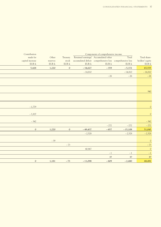| Contribution     |          |             |           | Components of comprehensive income                        |           |                 |
|------------------|----------|-------------|-----------|-----------------------------------------------------------|-----------|-----------------|
| made for         | Other    | Treasury    |           | Retained earnings/ Accumulated other                      | Total     | Total share-    |
| capital increase | reserves | stock       |           | accumulated deficit comprehensive loss comprehensive loss |           | holders' equity |
| EUR k            | EUR k    | EUR k       | EUR k     | EUR k                                                     | EURk      | $\rm{EUR}$ k    |
| 5,428            | 1,220    | $\mathbf 0$ | $-34,627$ | $-359$                                                    | $-5,372$  | 65,555          |
|                  |          |             | $-14,810$ |                                                           | $-14,810$ | $-14,810$       |
|                  |          |             |           | $-26$                                                     | $-26$     | $-26$           |
|                  |          |             |           |                                                           |           |                 |
|                  |          |             |           |                                                           |           | 940             |
|                  |          |             |           |                                                           |           |                 |
| $-1,779$         |          |             |           |                                                           |           | $\mathbb O$     |
| $-3,307$         |          |             |           |                                                           |           | $\mathbb O$     |
| $-342$           |          |             |           |                                                           |           | $-342$          |
|                  |          |             |           | $-272$                                                    | $-272$    | $-272$          |
| $\mathbf{0}$     | 1,220    | $\mathbf 0$ | $-49,437$ | $-657$                                                    | $-15,108$ | 51,045          |
|                  |          |             | $-2,528$  |                                                           | $-2,528$  | $-2,528$        |
|                  |          |             |           |                                                           |           |                 |
|                  | $-39$    |             |           |                                                           |           | $\circledcirc$  |
|                  |          | $-73$       |           |                                                           |           | $-73$           |
|                  |          |             | 40,867    |                                                           |           | $\circ$         |
|                  |          |             |           | $-1$                                                      | $-1$      | $-1$            |
|                  |          |             |           | 49                                                        | 49        | 49              |
| $\mathbf 0$      | 1,181    | $-73$       | $-11,098$ | $-609$                                                    | $-2,480$  | 48,492          |
|                  |          |             |           |                                                           |           |                 |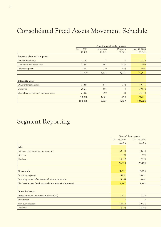# Consolidated Fixed Assets Movement Schedule

|                                        | Aquisition and production cost |                  |               |               |  |
|----------------------------------------|--------------------------------|------------------|---------------|---------------|--|
|                                        | Jan. 1, 2003                   | <b>Additions</b> | Disposals     | Dec. 31, 2003 |  |
|                                        | EUR k                          | EUR k            | EUR k         | EUR k         |  |
| Property, plant and equipment          |                                |                  |               |               |  |
| Land and buildings                     | 12,262                         | 11               | $\mathcal{O}$ | 12,273        |  |
| Computers and accessories              | 13,891                         | 1,462            | 2,547         | 12,806        |  |
| Office equipment                       | 5,347                          | 229              | 484           | 5,092         |  |
|                                        | 31,500                         | 1,702            | 3,031         | 30,171        |  |
|                                        |                                |                  |               |               |  |
| Intangible assets                      |                                |                  |               |               |  |
| Other intangible assets                | 17,584                         | 1,871            | 274           | 19,181        |  |
| Goodwill                               | 29,271                         | 601              | $\mathcal{O}$ | 29,872        |  |
| Capitalized software development costs | 24,103                         | 1,399            | 24            | 25,478        |  |
|                                        | 70,958                         | 3,871            | 298           | 74,531        |  |
|                                        | 102,458                        | 5,573            | 3,329         | 104,702       |  |

# Segment Reporting

|                                                          | Network Management |               |  |
|----------------------------------------------------------|--------------------|---------------|--|
|                                                          | Dec. 31, 2003      | Dec. 31, 2002 |  |
|                                                          | EUR k              | EUR k         |  |
| <b>Sales</b>                                             |                    |               |  |
| Software production and maintenance                      | 60,444             | 58,633        |  |
| Licenses                                                 | 1,303              | 1,993         |  |
| Hardware                                                 | 13,112             | 17,573        |  |
|                                                          | 74,859             | 78,199        |  |
|                                                          |                    |               |  |
| Gross profit                                             | 17,611             | 18,995        |  |
| Operating expenses                                       | 13,831             | 14,491        |  |
| Operating result before taxes and minority interests     | 3,164              | 4,442         |  |
| Net loss/income for the year (before minority interests) | 2,987              | 8,182         |  |
|                                                          |                    |               |  |
| Other disclosures                                        |                    |               |  |
| Depreciation and amortization (scheduled)                | 2,472              | 2,774         |  |
| Impairment                                               | $\circ$            | $\circ$       |  |
| Non-current assets                                       | 28,516             | 29,432        |  |
| Goodwill                                                 | 14,264             | 14,264        |  |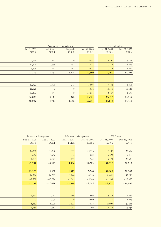|              | Accumulated Depreciation |               |               |               | Net book values |
|--------------|--------------------------|---------------|---------------|---------------|-----------------|
| Jan. 1, 2003 | Additions                | Disposals     | Dec. 31, 2003 | Dec. 31, 2003 | Dec. 31, 2002   |
| EUR k        | EUR k                    | EUR k         | EUR k         | EUR k         | EUR k           |
|              |                          |               |               |               |                 |
| 5,141        | 341                      | $\mathcal{O}$ | 5,482         | 6,791         | 7,121           |
| 12,295       | 1,639                    | 2,453         | 11,481        | 1,325         | 1,596           |
| 3,768        | 590                      | 441           | 3,917         | 1,175         | 1,579           |
| 21,204       | 2,570                    | 2,894         | 20,880        | 9,291         | 10,296          |
|              |                          |               |               |               |                 |
|              |                          |               |               |               |                 |
| 12,770       | 1,499                    | 272           | 13,997        | 5,184         | 4,814           |
| 11,626       | $\mathcal{O}$            | $\mathcal{O}$ | 11,626        | 18,246        | 17,645          |
| 22,407       | 644                      | $\mathcal{O}$ | 23,051        | 2,427         | 1,696           |
| 46,803       | 2,143                    | 272           | 48,674        | 25,857        | 24,155          |
| 68,007       | 4,713                    | 3,166         | 69,554        | 35,148        | 34,451          |

| Dec. 31, 2003<br>Dec. 31, 2002<br>Dec. 31, 2002<br>Dec. 31, 2003<br>Dec. 31, 2002<br>Dec. 31, 2003<br>EUR k<br>EUR k<br>EUR k<br>EUR k<br>EUR k<br>42,266<br>22,576<br>117,187<br>41,480<br>14,477<br>683<br>3,647<br>342<br>5,292<br>4,742<br>20,608<br>1,884<br>2,071<br>177<br>964<br>15,173<br>150,715<br>47,797<br>48,293<br>14,996<br>24,223<br>137,652<br>30,805<br>12,920<br>9,562<br>1,377<br>2,248<br>31,908<br>14,794<br>24,593<br>3,266<br>4,154<br>31,891<br>$-2,709$<br>$-18,965$<br>$-17,824$<br>$-2,003$<br>$-5,583$<br>$-1,548$<br>$-3,239$<br>$-17,429$<br>$-1,919$<br>$-5,645$<br>$-2,171$<br>1,745<br>2,017<br>496<br>608<br>4,713<br>$\mathcal{O}$<br>3,609<br>$\circ$<br>2,075<br>$\circ$<br>8,860<br>8,009<br>3,623<br>3,025<br>40,999 |       | <b>Production Management</b> | <b>Information Management</b><br>PSI Group |       |  |           |
|---------------------------------------------------------------------------------------------------------------------------------------------------------------------------------------------------------------------------------------------------------------------------------------------------------------------------------------------------------------------------------------------------------------------------------------------------------------------------------------------------------------------------------------------------------------------------------------------------------------------------------------------------------------------------------------------------------------------------------------------------------------|-------|------------------------------|--------------------------------------------|-------|--|-----------|
|                                                                                                                                                                                                                                                                                                                                                                                                                                                                                                                                                                                                                                                                                                                                                               |       |                              |                                            |       |  |           |
|                                                                                                                                                                                                                                                                                                                                                                                                                                                                                                                                                                                                                                                                                                                                                               |       |                              |                                            |       |  | EUR k     |
|                                                                                                                                                                                                                                                                                                                                                                                                                                                                                                                                                                                                                                                                                                                                                               |       |                              |                                            |       |  |           |
|                                                                                                                                                                                                                                                                                                                                                                                                                                                                                                                                                                                                                                                                                                                                                               |       |                              |                                            |       |  | 122,689   |
|                                                                                                                                                                                                                                                                                                                                                                                                                                                                                                                                                                                                                                                                                                                                                               |       |                              |                                            |       |  | 7,418     |
|                                                                                                                                                                                                                                                                                                                                                                                                                                                                                                                                                                                                                                                                                                                                                               |       |                              |                                            |       |  |           |
|                                                                                                                                                                                                                                                                                                                                                                                                                                                                                                                                                                                                                                                                                                                                                               |       |                              |                                            |       |  |           |
|                                                                                                                                                                                                                                                                                                                                                                                                                                                                                                                                                                                                                                                                                                                                                               |       |                              |                                            |       |  |           |
|                                                                                                                                                                                                                                                                                                                                                                                                                                                                                                                                                                                                                                                                                                                                                               |       |                              |                                            |       |  |           |
|                                                                                                                                                                                                                                                                                                                                                                                                                                                                                                                                                                                                                                                                                                                                                               |       |                              |                                            |       |  | 43,238    |
|                                                                                                                                                                                                                                                                                                                                                                                                                                                                                                                                                                                                                                                                                                                                                               |       |                              |                                            |       |  |           |
|                                                                                                                                                                                                                                                                                                                                                                                                                                                                                                                                                                                                                                                                                                                                                               |       |                              |                                            |       |  | $-14,892$ |
|                                                                                                                                                                                                                                                                                                                                                                                                                                                                                                                                                                                                                                                                                                                                                               |       |                              |                                            |       |  |           |
|                                                                                                                                                                                                                                                                                                                                                                                                                                                                                                                                                                                                                                                                                                                                                               |       |                              |                                            |       |  |           |
|                                                                                                                                                                                                                                                                                                                                                                                                                                                                                                                                                                                                                                                                                                                                                               |       |                              |                                            |       |  | 5,399     |
|                                                                                                                                                                                                                                                                                                                                                                                                                                                                                                                                                                                                                                                                                                                                                               |       |                              |                                            |       |  | 5,684     |
|                                                                                                                                                                                                                                                                                                                                                                                                                                                                                                                                                                                                                                                                                                                                                               |       |                              |                                            |       |  | 40,466    |
| 1,681<br>18,246                                                                                                                                                                                                                                                                                                                                                                                                                                                                                                                                                                                                                                                                                                                                               | 1,981 |                              | 2,001                                      | 1,700 |  | 17,645    |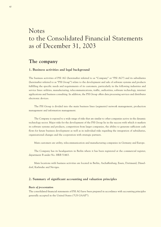# Notes to the Consolidated Financial Statements as of December 31, 2003

# **The company**

## **1. Business activities and legal background**

The business activities of PSI AG (hereinafter referred to as "Company" or "PSI AG") and its subsidiaries (hereinafter referred to as "PSI Group") relate to the development and sale of software systems and products fulfilling the specific needs and requirements of its customers, particularly in the following industries and service lines: utilities, manufacturing, telecommunications, traffic, authorities, software technology, internet applications and business consulting. In addition, the PSI Group offers data processing services and distributes electronic devices.

The PSI Group is divided into the main business lines (segments) network management, production management and information management.

The Company is exposed to a wide range of risks that are similar to other companies active in the dynamic technology sector. Major risks for the development of the PSI Group lie in the success with which it markets its software systems and products, competition from larger companies, the ability to generate sufficient cash flows for future business development as well as in individual risks regarding the integration of subsidiaries, organizational changes and the cooperation with strategic partners.

Main customers are utility, telecommunication and manufacturing companies in Germany and Europe.

The Company has its headquarters in Berlin where it has been registered at the commercial register, department B under No. HRB 51463.

Main locations with business activities are located in Berlin, Aschaffenburg, Essen, Dortmund, Düsseldorf, Karlsruhe and Neviges.

# **2. Summary of significant accounting and valuation principles**

### *Basis of presentation*

The consolidated financial statements of PSI AG have been prepared in accordance with accounting principles generally accepted in the United States ("US GAAP").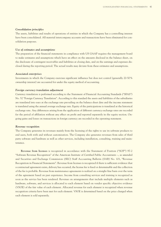### *Consolidation principles*

The assets, liabilities and results of operations of entities in which the Company has a controlling interest have been consolidated. All material intercompany accounts and transactions have been eliminated for consolidation purposes.

### *Use of estimates and assumptions*

The preparation of the financial statements in compliance with US GAAP requires the management board to make estimates and assumptions which have an effect on the amounts disclosed in the balance sheet, on the disclosure of contingent receivables and liabilities at closing date, and on the earnings and expenses disclosed during the reporting period. The actual results may deviate from these estimates and assumptions.

### *Associated enterprises*

Investments in which the Company exercises significant influence but does not control (generally 20-50 % ownership interest) are accounted for under the equity method of accounting.

### *Foreign currency translation adjustment*

Currency translation is performed according to the Statement of Financial Accounting Standards ("SFAS") No. 52 "Foreign Currency Translation". According to this standard the assets and liabilities of the subsidiaries are translated into euro at the exchange rate prevailing on the balance sheet date and the income statement is translated using the annual average exchange rate. Equity of the participations is translated at the historical exchange rate. Any differences arising from the application of different currency exchange rates are recorded for the period of affiliation without any effect on profit and reported separately in the equity section. Ongoing gains and losses on transactions in foreign currency are recorded in the operating statement.

### *Revenue recognition*

The Company generates its revenues mainly from the licensing of the rights to use its software products to end users, both with and without customization. The Company also generates revenues from sales of third party software and hardware as well as other services, including installation, consulting, training and maintenance.

**Revenue from licenses** is recognized in accordance with the Statement of Position ("SOP") 97-2 "Software Revenue Recognition" of the American Institute of Certified Public Accountants –, as amended and Securities and Exchange Commission (SEC) Staff Accounting Bulletin (SAB) No. 101, "Revenue Recognition in Financial Statements". Revenue from licenses is recognized if there is sufficient evidence that a contractual agreement exists, delivery has occurred, the license fee is fixed or determinable and the collection of the fee is probable. Revenue from maintenance agreements is realized on a straight-line basis over the term of the agreement based on past experience. Income from consulting services and training is recognized as soon as the service has been rendered. Revenue on arrangements that include multiple elements such as hardware, software, and services is allocated to each element based on vendor specific objective evidence (VSOE) of the fair value of each element. Allocated revenue for each element is recognized when revenue recognition criteria have been met for each element. VSOE is determined based on the price charged when each element is sold separately.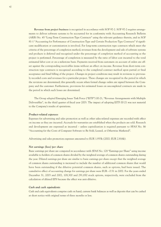**Revenue from project business** is recognized in accordance with SOP 97-2. SOP 97-2 requires arrangements to deliver software systems to be accounted for in conformity with Accounting Research Bulletin (ARB) No. 45 "Long-Term Construction-Type Contracts" using the relevant guidance therein, and in SOP 81-1 "Accounting for Performance of Construction-Type and Certain Production-Type Contracts" if significant modification or customization is involved. For long-term construction type contracts which meet the criteria of the percentage of completion method, revenues from the development and sale of software systems and products is deferred and recognized under the percentage of completion method of accounting as the project is performed. Percentage of completion is measured by the ratio of labor cost incurred to the total estimated labor cost or on a milestone basis. Payments received from customers on account of orders are offset against the corresponding receivables items without an effect on income. Revenue from short-term construction type contracts is recognized according to the completed contract method upon partial or final acceptance and final billing of the project. Changes in project conditions may result in revisions to previously recorded costs and revenues for a particular project. These changes are recognized in the period in which the revisions are determined; this generally occurs when formal change orders are signed between the Company and the customer. Furthermore, provisions for estimated losses on uncompleted contracts are made in the period in which such losses are determined.

The Group adopted Emerging Issues Task Force ("EITF") 00-21, "Revenue Arrangements with Multiple Deliverables", in the third quarter of fiscal year 2003. The impact of adopting EITF 00-21 was not material to the Company's results of operations.

### *Product-related expenses*

Expenses for advertising and sales promotion as well as other sales-related expenses are recorded with effect on income as they are incurred. Accruals for warranties are established when the products are sold. Research and development are expensed as incurred – unless capitalization is required pursuant to SFAS No. 86 "Accounting for the Costs of Computer Software to Be Sold, Leased, or Otherwise Marketed".

Advertising and sales promotion expenses amounted to EUR 1.933k (2002: EUR 2.816k).

### *Net earnings (loss) per share*

Basic earnings per share are computed in accordance with SFAS No. 128 "Earnings per Share" using income available to holders of common shares divided by the weighted average of common shares outstanding during the year. Diluted earnings per share are similar to basic earnings per share except that the weighted average of common shares outstanding is increased to include the number of additional common shares that would have been outstanding if the dilutive potential common shares, such as options, had been issued. The cumulative effect of accounting change for earnings per share were EUR – 0.51 in 2002. For the years ended December 31, 2003 and 2002, 108,300 and 291,850 stock options, respectively, were excluded from the calculation of diluted EPS because the effect was anti-dilutive.

### *Cash and cash equivalents*

Cash and cash equivalents comprise cash on hand, current bank balances as well as deposits that can be cashed at short notice with original terms of three months or less.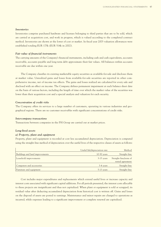### *Inventories*

Inventories comprise purchased hardware and licenses belonging to third parties that are to be sold, which are carried at acquisition cost, and work in progress, which is valued according to the completed contract method. Inventories are shown at the lower of cost or market. In fiscal year 2003 valuation allowances were established totaling EUR 175k (EUR 514k in 2002).

### *Fair value of financial instruments*

The carrying amounts of the Company's financial instruments, including cash and cash equivalents, accounts receivable, accounts payable and long-term debt approximate their fair values. All balances within accounts receivable are due within one year.

The Company classifies its existing marketable equity securities as available-for-sale and discloses them at market value. Unrealized gains and losses from available-for-sale securities are reported in other comprehensive income, net of income tax effects. The gains and losses realized are calculated for every sale and disclosed with an effect on income. The Company defines permanent impairment at each balance sheet date on the basis of various factors, including the length of time over which the market value of the securities was lower than their acquisition cost and a special analysis and valuation for each security.

### *Concentration of credit risks*

The Company offers its services to a large number of customers, operating in various industries and geographical regions. There are no customer receivables with significant concentrations of credit risks.

#### *Intercompany transactions*

Transactions between companies in the PSI Group are carried out at market prices.

### *Long-lived assets*

### *a) Property, plant and equipment*

Property, plant and equipment is recorded at cost less accumulated depreciation. Depreciation is computed using the straight-line method of depreciation over the useful lives of the respective classes of assets as follows:

|                                 | Useful life/depreciation rate | Method                |
|---------------------------------|-------------------------------|-----------------------|
| Buildings and land improvements | $10-50$ years                 | Straight-line         |
| Leasehold improvements          | $3-15$ years                  | Straight-line/term of |
|                                 |                               | rental agreement      |
| Computers and accessories       | $3-4$ years                   | Straight-line         |
| Furniture and equipment         | $5-13$ vears                  | Straight-line         |

Cost includes major expenditures and replacements which extend useful lives or increase capacity and interest costs associated with significant capital additions. For all periods presented, the interest costs allocable to these projects are insignificant and thus not capitalized. When plant or equipment is sold or scrapped, its residual value after deducting accumulated depreciation from historical cost is written off. Gains and losses on the disposal of assets are posted to earnings. Maintenance and minor repairs are charged to operations as incurred, while expenses leading to a significant improvement or complete renewal are capitalized.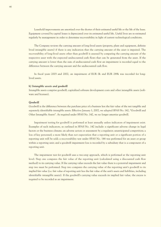Leasehold improvements are amortized over the shorter of their estimated useful life or the life of the lease. Equipment covered by capital leases is depreciated over its estimated useful life. Useful lives are re-estimated regularly by management in order to determine recoverability in light of current technological conditions.

The Company reviews the carrying amount of long-lived assets (property, plant and equipment, definite lived intangible assets) if there is any indication that the carrying amount of the asset is impaired. The recoverability of long-lived assets other than goodwill is assessed by comparing the carrying amount of the respective asset with the expected undiscounted cash flows that can be generated from the asset. If the carrying amount is lower than the sum of undiscounted cash flow an impairment is recorded equal to the difference between the carrying amount and the undiscounted cash flow.

In fiscal years 2003 and 2002, an impairment of EUR 0k and EUR 289k was recorded for longlived assets.

### *b) Intangible assets and goodwill*

Intangible assets comprise goodwill, capitalized software development costs and other intangible assets (software and licenses).

### *Goodwill*

Goodwill is the difference between the purchase price of a business less the fair value of the net tangible and separately identifiable intangible assets. Effective January 1, 2002, we adopted SFAS No. 142, "Goodwill and Other Intangible Assets". As required under SFAS No. 142, we no longer amortize goodwill.

Impairment testing for goodwill is performed at least annually unless indicators of impairment exist. Examples of such indicators, as outlined in SFAS No. 142 include: a significant adverse change in legal factors or the business climate; an adverse action or assessment by a regulator; unanticipated competition; a loss of key personnel; a more likely than not expectation that a reporting unit or a significant portion of a reporting unit will be sold; a recoverability test under SFAS No. 144 was performed for an asset or group within a reporting unit; and a goodwill impairment loss is recorded by a subsidiary that is a component of a reporting unit.

The impairment test for goodwill uses a two-step approach, which is performed at the reporting unit level. Step one compares the fair value of the reporting unit (calculated using a discounted cash flow method) to its carrying value. If the carrying value exceeds the fair value there is a potential impairment and step two must be performed. Step two compares the carrying value of the reporting unit's goodwill to its implied fair value (i.e. fair value of reporting unit less the fair value of the unit's assets and liabilities, including identifiable intangible assets). If the goodwill's carrying value exceeds its implied fair value, the excess is required to be recorded as an impairment.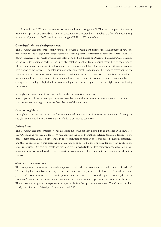In fiscal year 2003, no impairment was recorded related to goodwill. The initial impact of adopting SFAS No. 142 on our consolidated financial statements was recorded as a cumulative effect of an accounting change as of January 1, 2002, resulting in a charge of EUR 5,395k, net of tax.

### *Capitalized software development costs*

The Company accounts for internally generated software development costs for the development of new software products and of significant improvements to existing software products in accordance with SFAS No. 86, "Accounting for the Costs of Computer Software to be Sold, Leased or Otherwise Marketed". Capitalization of software development costs begins upon the establishment of technological feasibility of the product, which the Company defines as the development of a working model and further defines as the completion of beta testing of the software. The establishment of technological feasibility and the ongoing assessment of the recoverability of these costs requires considerable judgment by management with respect to certain external factors, including, but not limited to, anticipated future gross product revenue, estimated economic life and changes in technology. Capitalized software development costs are depreciated at the higher of the following two amounts:

- straight-line over the estimated useful life of the software (four years) or
- in proportion of the current gross revenue from the sale of the software to the total amount of current and estimated future gross revenue from the sale of this software.

### *Other intangible assets*

Intangible assets are valued at cost less accumulated amortization. Amortization is computed using the straight-line method over the estimated useful lives of three to ten years.

### *Deferred taxes*

The Company accounts for taxes on income according to the liability method, in compliance with SFAS No. 109 "Accounting for Income Taxes". When applying the liability method, deferred taxes are defined on the basis of temporary valuation differences in the recognition of items in the consolidated financial statements and the tax accounts. In this case, the taxation rate to be applied is the one valid for the year in which the effect is reversed. Deferred tax assets are provided for tax-deductible net loss carryforwards. Valuation allowances are recorded to reduce deferred tax assets when it is more likely than not that such assets will not be realized.

### *Stock-based compensation*

The Company accounts for stock-based compensation using the intrinsic value method prescribed in APB 25 "Accounting for Stock issued to Employees" which are more fully described in Note 13 "Stock-based compensation". Compensation cost for stock options is measured as the excess of the quoted market price of the Company's stock on the measurement date over the amount an employee must pay to acquire the stock. These costs are recognized as expenses in the period before the options are exercised. The Company's plans satisfy the criteria of a "fixed plan" pursuant to APB 25.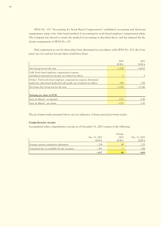SFAS No. 123 "Accounting for Stock-Based Compensation" established accounting and disclosure requirements using a fair value-based method of accounting for stock-based employee compensation plans. The Company has elected to retain the method of accounting as described above, and has adopted the disclosure requirements of SFAS No. 123.

Had compensation cost for these plans been determined in accordance with SFAS No. 123, the Company's net loss and net loss per share would have been:

|                                                                          | 2003     | 2002      |
|--------------------------------------------------------------------------|----------|-----------|
|                                                                          | EUR k    | EUR k     |
| Net Group loss for the year                                              | $-2,528$ | $-14,810$ |
| Add: Stock based employee compensation expense                           |          |           |
| included in reported net income, net related tax effects                 | 0        |           |
| Deduct: Total stock-based employee compensation expense determined       |          |           |
| under fair value-based method for all awards, net of related tax effects | $-198$   | $-336$    |
| Pro-forma Net Group loss for the year                                    | $-2,726$ | $-15,146$ |
|                                                                          |          |           |
| Earnings per share in EUR                                                |          |           |
| basic & diluted – as reported                                            | $-0.23$  | $-1.40$   |
| basic & diluted – pro forma                                              | $-0.25$  | $-1.43$   |

The pro-forma results presented above are not indicative of future period pro-forma results.

### *Comprehensive income*

Accumulated other comprehensive income as of December 31, 2003 consists of the following:

|                                                  |               | Change |               |
|--------------------------------------------------|---------------|--------|---------------|
|                                                  | Dec. 31, 2002 | 2003   | Dec. 31, 2003 |
|                                                  | EUR k         | EUR k  | EUR k         |
| Foreign currency translation adjustment          | $-274$        | 49     | $-225$        |
| Unrealized loss on available-for-sale securities | $-383$        | $-1$   | $-384$        |
|                                                  | $-657$        | 48     | $-609$        |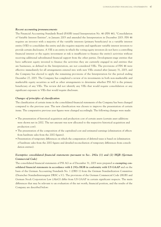#### *Recent accounting pronouncements*

The Financial Accounting Standards Board (FASB) issued Interpretation No. 46 (FIN 46), "Consolidation of Variable Interest Entities", in January 2003 and amended the Interpretation in December 2003. FIN 46 requires an investor with a majority of the variable interests (primary beneficiary) in a variable interest entity (VIE) to consolidate the entity and also requires majority and significant variable interest investors to provide certain disclosures. A VIE is an entity in which the voting equity investors do not have a controlling financial interest or the equity investment at risk is insufficient to finance the entity's activities without receiving additional subordinated financial support from the other parties. Development-stage entities that have sufficient equity invested to finance the activities they are currently engaged in and entities that are businesses, as defined in the Interpretation, are not considered VIEs. The provisions of FIN 46 were effective immediately for all arrangements entered into with new VIEs created after January 31, 2003, and the Company has elected to apply the remaining provisions of the Interpretation for the period ending December 27, 2003. The Company has completed a review of its investments in both non-marketable and marketable equity securities as well as other arrangements to determine whether PSI AG is the primary beneficiary of any VIEs. The review did not identify any VIEs that would require consolidation or any significant exposure to VIEs that would require disclosure.

### *Changes of principles of classification*

The classification of certain items in the consolidated financial statements of the Company has been changed compared to the previous year. The new classification was chosen to improve the presentation of certain items. The comparative previous year figures were changed accordingly. The following changes were made:

- The presentation of historical acquisition and production cost of certain assets (certain asset additions were shown net in 2002. The net amount was now allocated to the respective historical acquisition and production cost).
- The presentation of the composition of the capitalized cost and estimated earnings (elimination of effects from hardware sales from the 2002 figures).
- Presentation of temporary differences on which the computation of deferred taxes is based on (elimination of hardware sales from the 2002 figures and detailed reconciliation of temporary differences from consolidation entries).

# *Exemptive consolidated financial statements pursuant to Sec. 292a (1) and (2) HGB (German Commercial Code)*

The consolidated financial statements of PSI AG as of December 31, 2003 were prepared as **exempting consolidated financial statements in accordance with § 292a HGB in conformity with US GAAP** and on the basis of the German Accounting Standards No. 1 (DRS 1) from the German Standardization Committee (Deutscher Standardisierungsrat DRSC e.V.). The provisions of the German Commercial Code (HGB) and German Stock Corporation Law (AktG) differ from US GAAP in certain significant respects. The main differences that may be relevant to an evaluation of the net worth, financial position, and the results of the Company are described below: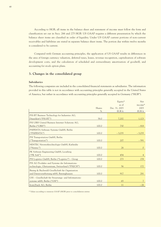According to HGB, all items in the balance sheet and statement of income must follow the form and classification set out in Secs. 266 and 275 HGB. US GAAP requires a different presentation by which the balance sheet items are classified in order of liquidity. Under US GAAP current portions of non-current receivables and liabilities are stated in separate balance sheet items. The portion due within twelve months is considered to be current.

Compared with German accounting principles, the application of US GAAP results in differences in the area of foreign currency valuation, deferred taxes, leases, revenue recognition, capitalization of software development costs, and the calculation of scheduled and extraordinary amortization of goodwill, and accounting for stock option plans.

# **3. Changes in the consolidated group**

### *Subsidiaries*

The following companies are included in the consolidated financial statements as subsidiaries. The information provided in this table is not in accordance with accounting principles generally accepted in the United States of America, but rather in accordance with accounting principles generally accepted in Germany ("HGB").

|                                                      |               | Equity*       | <b>Net</b> |
|------------------------------------------------------|---------------|---------------|------------|
|                                                      |               | as of         | income*    |
|                                                      | <b>Shares</b> | Dec. 31, 2003 | 2003       |
|                                                      | $\%$          | EUR k         | EUR k      |
| PSI-BT Business Technology for Industries AG,        |               |               |            |
| Düsseldorf ("PSI-BT")                                | 58.0          | 7,202         | 1,123      |
| PSI UBIS United Business Internet Solutions AG,      |               |               |            |
| Berlin ("UBIS")                                      | 100.0         | 730           | $-818$     |
| PSIPENTA Software Systems GmbH, Berlin               |               |               |            |
| ("PSIPENTA")                                         | 100.0         | $-3,035$      | $-3,035$   |
| PSI Transportation GmbH, Berlin                      |               |               |            |
| ("Transportation")                                   | 100.0         | 207           | $-591$     |
| NENTEC Netzwerktechnologie GmbH, Karlsruhe           |               |               |            |
| ("Nentec")                                           | 100.0         | 26            | $\circ$    |
| PK Software Engineering GmbH, Leonberg               |               |               |            |
| ("PK Soft")                                          | 100.0         | 454           | 4          |
| PSI Logistics GmbH, Berlin ("Logistics") – Group     | 100.0         | 273           | 278        |
| PSI AG Produkte und Systeme der Informations-        |               |               |            |
| technologie, Glattzentrum, Switzerland ("PSI/CH")    | 100.0         | 56            | 172        |
| Büsing & Buchwald Gesellschaft für Organisation      |               |               |            |
| und Datenverarbeitung mbH, Barsinghausen             | 100.0         | 917           | 281        |
| GSI - Gesellschaft für Steuerungs- und Informations- |               |               |            |
| systeme mbH, Berlin ("GSI")                          | 100.0         | 65            | 7          |
| front2back AG, Berlin                                | 100.0         | 11            | $-26$      |

\* Values according to statutory GAAP (HGB) prior to consolidation entries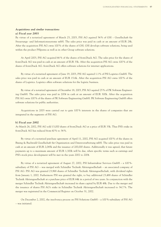### *Acquisitions and similar transactions*

### *a) Fiscal year 2003*

By virtue of a notarized agreement of March 25, 2003, PSI AG aquired 54 % of GSI – Gesellschaft für Steuerungs- und Informationssysteme mbH. The sales price was paid in cash at an amount of EUR 28k. After the acquisition PSI AG owns 100 % of the shares of GSI. GSI develops software solutions, being used within the product PSIpenta as well as in other Group software solutions.

At April 2003, PSI AG acquired 66 % of the shares of front2back AG. The sales price for the shares of front2back AG was paid in cash at an amount of EUR 33k. After the acquisition PSI AG owns 100 % of the shares of front2back AG. front2back AG offers software solutions for internet applications.

By virtue of a notarized agreement of June 19, 2003, PSI AG aquired 1.1% of PSI Logistics GmbH. The sales price was paid in cash at an amount of EUR 15.6k. After the acquisition PSI AG owns 100 % of the shares of Logistics. Logistics offers software solutions for the logistic business.

By virtue of a notarized agreement of December 18, 2003, PSI AG aquired 25 % of PK Software Engineering GmbH. The sales price was paid in 2004 in cash at an amount of EUR 300k. After the acquisition PSI AG owns 100 % of the shares of PK Software Engineering GmbH. PK Software Engineering GmbH offers software solutions for public authorities.

Acquisitions in 2003 were carried out to gain 100 % interests in the shares of companies that are integrated in the segments of PSI AG.

### *b) Fiscal year 2002*

At March 26, 2002, PSI AG sold 13,000 shares of front2back AG at a price of EUR 33k. Thus PSI's stake in front2back AG has reduced from 60 % to 34 %.

By virtue of a notarized purchase agreement of April 11, 2002, PSI AG acquired 100 % of the shares in Büsing & Buchwald Gesellschaft für Organisation und Datenverarbeitung mbH. The sales price was paid in cash at an amount of EUR 2,045k and the issuance of 200,000 shares. Additionally it was agreed, that future payments up to a maximum amount of EUR 1,300k will be due, when specific terms such as earnings and PSI's stock price development will be met in the years 2002 to 2004.

By virtue of a notarized agreement of August 27, 2002, PSI Infrastruktur Services GmbH – a 100 % subsidiary of PSI AG – was merged with Schindler Technik Aktiengesellschaft – an associated company of PSI AG. PSI AG was granted 23,968 shares of Schindler Technik Aktiengesellschaft, with dividend rights from January 1, 2002. Futhermore PSI was granted the right, to buy additional 23,488 shares of Schindler Technik Aktiengesellschaft at a purchase price of EUR 64k in a period of two years. In conjunction with the merger Schindler Technik Aktiengesellschaft increased its share capital by EUR 48k. Due to the merger and the issuance of shares PSI AG's stake in Schindler Technik Aktiengesellschaft increased to 34.7 %. The merger was registrated in the Commercial Register on October 31, 2002.

On December 2, 2002, the insolvency process on PSI Solutions GmbH – a 100 %-subsidiary of PSI AG – was initiated.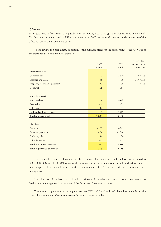### *c) Summary*

For acquisitions in fiscal year 2003, purchase prices totaling EUR 377k (prior year EUR 3,015k) were paid. The fair value of shares issued by PSI as consideration in 2002 was assessed based on market values as of the effective date of the related acquisition.

The following is a preliminary allocation of the purchase prices for the acquisitions to the fair value of the assets acquired and liabilities assumed:

|                               |               |          | Straight-line |
|-------------------------------|---------------|----------|---------------|
|                               | 2003          | 2002     | amortization/ |
|                               | EUR k         | EUR k    | useful life   |
| Intangible assets             |               |          |               |
| Customer list                 | $\mathcal{O}$ | 1,300    | 10 years      |
| Software and licenses         | 33            | 39       | $3-10$ years  |
| Property, plant and equipment | 20            | 235      | $3-4$ years   |
| Goodwill                      | 601           | 967      |               |
|                               |               |          |               |
| Short-term assets             |               |          |               |
| Order backlog                 | $\mathcal{O}$ | 1,216    |               |
| Receivables                   | 283           | 254      |               |
| Other assets                  | 149           | 392      |               |
| Cash and cash equivalents     | $\mathcal{O}$ | 1,227    |               |
| Total of assets acquired      | 1,086         | 5,630    |               |
|                               |               |          |               |
| Liabilities                   |               |          |               |
| Accruals                      | $-228$        | $-763$   |               |
| Advance payments              | $-24$         | $-1,366$ |               |
| Trade payables                | $-44$         | $-74$    |               |
| Other liabilities             | $-413$        | $-412$   |               |
| Total of liabilities acquired | $-709$        | $-2,615$ |               |
| Total of purchase prices paid | 377           | 3,015    |               |

The Goodwill presented above may not be recognized for tax purposes. Of the Goodwill acquired in 2003, EUR 300k and EUR 302k relate to the segments information management and production management, respectively. (Goodwill from acquisitions consummated in 2002 relates entirely to the segment net management.)

The allocation of purchase price is based on estimates of fair value and is subject to revision based upon finalization of management's assessment of the fair value of net assets acquired.

The results of operations of the acquired entities (GSI and front2back AG) have been included in the consolidated statement of operations since the related acquisition date.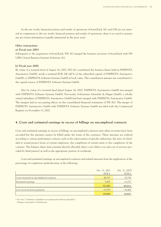As the net worth, financial position and results of operations of front2back AG and GSI are not material in comparison to the net worth, financial position and results of operations, there is no need to present any pro forma information (equally immaterial in the prior year).

### *Other transactions*

### *a) Fiscal year 2003*

Subsequent to the acquisition of front2back, PSI AG merged the business activities of front2back with PSI UBIS United Business Internet Solutions AG.

### *b) Fiscal year 2002*

By virtue of a notarial deed of August 16, 2002, PSI AG contributed the business shares held in PSIPENTA Automotive GmbH, worth a nominal EUR 10k (40 % of the subscribed capital of PSIPENTA Automotive GmbH), to PSIPENTA Software Systems GmbH at book value. The contribution amount was contributed to the capital reserve of PSIPENTA Software Systems GmbH.

Also by virtue of a notarial deed dated August 16, 2002, PSIPENTA Automotive GmbH was merged with PSIPENTA Software Systems GmbH. Previously, Softsystems Scheufele & Happe GmbH, a wholly owned subsidiary of PSIPENTA Automotive GmbH had been merged with PSIPENTA Automotive GmbH. The mergers had no accounting effects on the consolidated financial statements of PSI AG. The merger of PSIPENTA Automotive GmbH with PSIPENTA Software Systems GmbH was filed with the Commercial Register on November 13, 2002.

## **4. Costs and estimated earnings in excess of billings on uncompleted contracts**

Costs and estimated earnings in excess of billings on uncompleted contracts arise when revenues have been recorded but the amounts cannot be billed under the terms of the contracts. These amounts are realized according to various performance criteria, such as the achievement of specific milestones, the ratio of scheduled to actual project hours of certain employees, the completion of certain units or the completion of the contract. The balance sheet item contains directly allocable direct costs (labor cost and cost of services provided by third parties) as well as the appropriate portion of overheads.

Costs and estimated earnings on uncompleted contracts and related amounts from the application of the percentage of completion methodconsist of the following:

|                                         | Dec. 31, 2003 | Dec. 31, 2002* |
|-----------------------------------------|---------------|----------------|
|                                         | EUR k         | EUR k          |
| Costs incurred on uncompleted contracts | 48,337        | 29,754         |
| Estimated earnings                      | 9,450         | 15,257         |
|                                         | 57,787        | 45,011         |
| Less received down payments             | $-37,959$     | $-30,408$      |
|                                         | 19,828        | 14,603         |

\* See note 2 "summary of significant accounting and valuation principles"/ Changes of principles of classification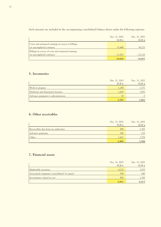Such amounts are included in the accompanying consolidated balance sheets under the following captions:

|                                                    | Dec. 31, 2003<br>EUR k | Dec. 31, 2002<br>EUR k |
|----------------------------------------------------|------------------------|------------------------|
|                                                    |                        |                        |
| Costs and estimated earnings in excess of billings |                        |                        |
| on uncompleted contracts                           | 31,640                 | 36,723                 |
| Billings in excess of costs and estimated earnings |                        |                        |
| on uncompleted contracts                           | $-11,812$              | $-22,120$              |
|                                                    | 19,828                 | 14,603                 |

# **5. Inventories**

|                                    | Dec. 31, 2003 | Dec. 31, 2002 |
|------------------------------------|---------------|---------------|
|                                    | EUR k         | EUR k         |
| Work in progress                   | 1,288         | 1,771         |
| Hardware and third-party licenses  | 1,429         | 1,891         |
| Advance payments to subcontractors | 70            | $\Omega$      |
|                                    | 2,787         | 3,662         |

# **6. Other receivables**

|                                      | Dec. 31, 2003 | Dec. 31, 2002 |
|--------------------------------------|---------------|---------------|
|                                      | EUR k         | EUR k         |
| Receivables due from tax authorities | 808           | 1,365         |
| Advance payments                     | 186           | 225           |
| Other                                | 1,412         | 1,778         |
|                                      | 2,406         | 3,368         |

# **7. Financial assets**

|                                               | Dec. 31, 2003 | Dec. 31, 2002 |
|-----------------------------------------------|---------------|---------------|
|                                               | EUR k         | EUR k         |
| Marketable securities                         | 4,122         | 3,875         |
| Associated companies consolidated "at equity" | 749           | 840           |
| Investments valued at cost                    | 980           | 1,300         |
|                                               | 5,851         | 6,015         |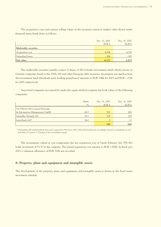The acquisition costs and current selling values of the securities stated at market value shown under financial assets break down as follows:

|                       | Dec. 31, 2003 | Dec. 31, 2002 |
|-----------------------|---------------|---------------|
|                       | EUR k         | EUR k         |
| Marketable securities |               |               |
| Acquisition cost      | 4,506         | 4,258         |
| Unrealized losses     | $-384$        | $-383$        |
| Fair value            | 4,122         | 3,875         |

The marketable securities mainly consist of shares of SZ-Cofonds (investment fund) which invests in German companies listed in the DAX 100 and other European debt securities. Investment income/loss from this investment fund (dividends paid, holding gains/losses) amounts to EUR 196k for 2003 and EUR – 272k for 2002 respectively.

Associated companies accounted for under the equity method comprise the book values of the following companies:

|                               | Share | Dec. 31, 2003 | Dec. 31, 2002 |
|-------------------------------|-------|---------------|---------------|
|                               | $\%$  | EUR k         | EUR k         |
| VA TECH CNI Control Networks  |       |               |               |
| & Information Management GmbH | 40.0  | 520           | 600           |
| Schindler Technik AG          | 34.7  | 229           | 229           |
| front2back AG*                | 34.0  | $\Omega$      | 11            |
|                               |       | 749           | 840           |

\* Outstanding GSI and front2back shares were acquired by PSI AG in 2003. GSI and front2back are accordingly reported as subsidiaries at year end. Refer to footnote 3 "Changes in the consolidation group"

The investments valued at cost compromise the net acquisition cost of Varial Software AG. PSI AG holds an interest of 9.1% in the company. The initial acquisition cost amount to EUR 1,300k. In fiscal year 2003 a valuation allowance of EUR 320k was recorded.

# **8. Property, plant and equipment and intangible assets**

The development of the property, plant and equipment and intangible assets is shown in the fixed assets movement schedule.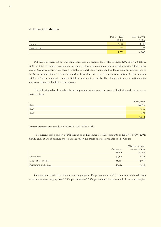# **9. Financial liabilities**

|                | Dec. 31, 2003 | Dec. 31, 2002 |
|----------------|---------------|---------------|
|                | EUR k         | EUR k         |
| <b>Current</b> | 5,360         | 3,540         |
| Non-current    | 393           | 522           |
|                | 5,753         | 4,062         |

PSI AG has taken out several bank loans with an original face value of EUR 470k (EUR 2,626k in 2002) in total to finance investments in property, plant and equipment and intangible assets. Additionally, several Group companies use bank overdrafts for short-term financing. The loans carry an interest rate of 5.2 % per annum (2002: 5.3 % per annum) and overdrafts carry an average interest rate of 8 % per annum (2002: 8.25 % per annum). Financial liabilities are repaid monthly. The Company intends to refinance its short-term financial liabilities continuously.

The following table shows the planned repayment of non-current financial liabilities and current overdraft facilities:

|      | Repayment |
|------|-----------|
| Year | EUR k     |
| 2004 | 5,360     |
| 2005 | 393       |
|      | 5,753     |

Interest expenses amounted to EUR 637k (2002: EUR 401k).

The current cash position of PSI Group as of December 31, 2003 amounts to KEUR 16,970 (2002: KEUR 21,532). As of balance sheet date the following credit lines are available to PSI Group:

|                        |            | Mixed guarantees |
|------------------------|------------|------------------|
|                        | Guarantees | and credit lines |
|                        | EUR k      | EUR k            |
| <b>Credit lines</b>    | 49,829     | 9,375            |
| Usage of credit lines  | $-35,117$  | $-4,039$         |
| Remaining credit lines | 14,712     | 5,336            |

Guarantees are available at interest rates ranging from 1% per annum to 2.25 % per annum and credit lines at an interest rates ranging from 7.75 % per annum to 9.75 % per annum The above credit lines do not expire.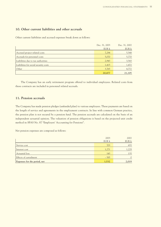# **10. Other current liabilities and other accruals**

Other current liabilities and accrued expenses break down as follows:

|                                       | Dec. 31, 2003 | Dec. 31, 2002 |
|---------------------------------------|---------------|---------------|
|                                       | EUR k         | EUR k         |
| Accrued project related costs         | 7,284         | 5,548         |
| Accruals for personnel costs          | 5,070         | 5,770         |
| Liabilities due to tax authorities    | 2,943         | 3,543         |
| Liabilities for social security costs | 1,415         | 1,472         |
| Other                                 | 3,765         | 4,772         |
|                                       | 20,477        | 21,105        |

The Company has an early retirement program offered to individual employees. Related costs from these contracts are included in personnel related accruals.

# **11. Pension accruals**

The Company has made pension pledges (unfunded plan) to various employees. These payments are based on the length of service and agreements in the employment contracts. In line with common German practice, the pension plan is not secured by a pension fund. The pension accruals are calculated on the basis of an independent actuarial opinion. The valuation of pension obligations is based on the projected unit credit method in SFAS No. 87 "Employers' Accounting for Pensions".

Net pension expenses are composed as follows:

|                              | 2003   | 2002     |
|------------------------------|--------|----------|
|                              | EUR k  | EUR k    |
| Service cost                 | 703    | 655      |
| Interest cost                | 1,271  | 1,229    |
| Actuarial loss               | 143    | 135      |
| Effects of curtailment       | $-585$ | $\Omega$ |
| Expenses for the period, net | 1,532  | 2,019    |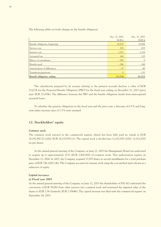The following tables set forth changes in the benefit obligation:

|                               | Dec. 31, 2003 | Dec. 31, 2002 |
|-------------------------------|---------------|---------------|
|                               | EUR k         | EUR k         |
| Benefit obligation, beginning | 20,525        | 18,944        |
| Service cost                  | 703           | 655           |
| Interest cost                 | 1,271         | 1,229         |
| Actuarial loss                | 143           | 135           |
| Effects of curtailment        | $-585$        | $\circ$       |
| Benefits paid                 | $-286$        | $-266$        |
| Amortization of differences   | $-37$         | $-40$         |
| Transfers/acquisitions        | $\mathcal{O}$ | $-132$        |
| Benefit obligation, ending    | 21,734        | 20,525        |

The calculations prepared by an actuary relating to the pension accruals disclose a value of EUR 23,017k for the Projected Benefit Obligation (PBO) for the fiscal year ending on December 31, 2003 (prior year: EUR 23,193k). The difference between the PBO and the benefit obligation results from unrecognized actuarial losses.

To calculate the pension obligations in the fiscal year and the prior year, a discount of 6.5 % and longterm salary increase rates of 1.5 % were assumed.

## **12. Stockholders' equity**

### *Common stock*

The common stock entered in the commercial register, which has been fully paid in, stands at EUR 28,192,947.20 (2002: EUR 28,153,955.11). The capital stock is divided into 11,012,870 (2002: 11,012,870) no-par shares.

At the annual general meeting of the Company on June 12, 2003 the Management Board was authorized to acquire up to approximately 10 % (EUR 2,800,000) of common stock. This authorization expires on December 11, 2004. In 2003, the Company acquired 17,919 shares in several installments for a total purchase price of EUR 73k (2002: 0k). The Company accounts for treasury stock using the cost method and is shown as a reduction of equity.

### *Capital increases*

### *a) Fiscal year 2003*

At the annual general meeting of the Company on June 12, 2003 the shareholders of PSI AG authorized the conversion of EUR 38,992 from other reserves into common stock and reassessed the imputed value of the shares to EUR 2.56 (formerly: EUR 2.55646). The capital increase was filed with the commercial register on September 24, 2003.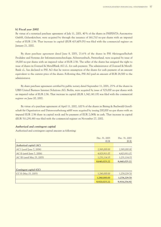### *b) Fiscal year 2002*

By virtue of a notarized purchase agreement of July 11, 2001, 40 % of the shares in PSIPENTA Automotive GmbH, Gelsenkirchen, were acquired by through the issuance of 161,710 no-par shares with an imputed value of EUR 2.56. That increase in capital (EUR 413,405.05) was filed with the commercial register on January 21, 2002.

By share purchase agreement dated June 8, 2001, 21.6 % of the shares in PSI Aktiengesellschaft Produkte und Systeme der Informationstechnologie, Schwerzenbach, Switzerland, were acquired by issue of 19,000 no-par shares with an imputed value of EUR 2.56. The seller of the shares has assigned the right to issue of shares in Gontard & MetallBank AG i.L. for cash payment. The administrator of Gontard & Metall-Bank i.L. has declared to PSI AG that he waives assumption of the shares for cash payment of an amount equivalent to the current price of the shares. Following this, PSI AG paid an amount of EUR 28,500 to the administrator.

By share purchase agreement certified by public notary dated September 11, 2001, 25 % of the shares in UBIS United Business Internet Solutions AG, Berlin, were acquired by issue of 525,000 no-par shares with an imputed value of EUR 2.56. That increase in capital (EUR 1,342,141.19) was filed with the commercial register on June 20, 2002.

By virtue of a purchase agreement of April 11, 2002, 100 % of the shares in Büsing & Buchwald Gesellschaft für Organisation und Datenverarbeitung mbH were acquired by issuing 200,000 no-par shares with an imputed EUR 2.56 share in capital stock and by payment of EUR 2,045k in cash. That increase in capital (EUR 511,291.88) was filed with the commercial register on November 27, 2002.

### *Authorized and contingent capital*

Authorized and contingent capital amount as following:

|                             | Dec. 31, 2003 | Dec. 31, 2002 |
|-----------------------------|---------------|---------------|
|                             | <b>EUR</b>    | <b>EUR</b>    |
| Authorized capital (AC)     |               |               |
| AC I (until June 7, 2006)   | 2,585,000.00  | 2,585,000.00  |
| AC II (until June 7, 2006)  | 4,823,911.07  | 4,823,911.07  |
| AC III (until May 25, 2005) | 1,231,114.15  | 1,231,114.15  |
|                             | 8,640,025.22  | 8,640,025.22  |
|                             |               |               |
| Contingent capital (CC)     |               |               |
| CC II (May 25, 2005)        | 1,280,000.00  | 1,278,229.70  |
|                             | 1,280,000.00  | 1,278,229.70  |
|                             | 9,920,025.22  | 9,918,254.92  |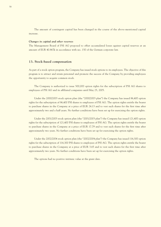The amount of contingent capital has been changed in the course of the above-mentioned capital increase.

### *Changes in capital and other reserves*

The Management Board of PSI AG proposed to offset accumulated losses against capital reserves at an amount of EUR 40.867k in accordance with sec. 150 of the German corporate law.

### **13. Stock-based compensation**

As part of a stock option program, the Company has issued stock options to its employees. The objective of this program is to attract and retain personnel and promote the success of the Company by providing employees the opportunity to acquire common stock.

The Company is authorized to issue 500,000 option rights for the subscription of PSI AG shares to employees of PSI AG and its affiliated companies until May 25, 2005.

Under the 2000/2003 stock option plan (the "2000/2003 plan") the Company has issued 86,400 option rights for the subscription of 86,400 PSI shares to employees of PSI AG. The option rights entitle the bearer to purchase shares in the Company at a price of EUR 24.13 and to vest such shares for the first time after approximately two and a half years. No further conditions have been set up for exercising the option rights.

Under the 2001/2003 stock option plan (the "2001/2003 plan") the Company has issued 121,400 option rights for the subscription of 121,400 PSI shares to employees of PSI AG. The option rights entitle the bearer to purchase shares in the Company at a price of EUR 17.79 and to vest such shares for the first time after approximately two years. No further conditions have been set up for exercising the option rights.

Under the 2002/2004 stock option plan (the "2002/2004 plan") the Company has issued 116,300 option rights for the subscription of 116,300 PSI shares to employees of PSI AG. The option rights entitle the bearer to purchase shares in the Company at a price of EUR 3.65 and to vest such shares for the first time after approximately two years. No further conditions have been set up for exercising the option rights.

The options had no positive intrinsic value at the grant date.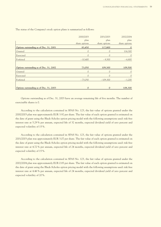|                                         | 2000/2003     | 2001/2003     | 2002/2004     |
|-----------------------------------------|---------------|---------------|---------------|
|                                         | plan          | plan          | plan          |
|                                         | share options | share options | share options |
| Options outstanding as of Dec. 31, 2001 | 83,450        | 117,800       | $\mathbf{0}$  |
| Granted                                 | 0             | $\mathcal{O}$ | 116,300       |
| Exercised                               | $\mathcal{O}$ | 0             | $\theta$      |
| Forfeited                               | $-10,400$     | $-8,500$      | $-6,800$      |
|                                         |               |               |               |
| Options outstanding as of Dec. 31, 2002 | 73,050        | 109,300       | 109,500       |
| Granted                                 | $\mathcal{O}$ | $\mathcal{O}$ | 0             |
| Exercised                               | $\mathcal{O}$ | $\Omega$      | 0             |
| Forfeited                               | $-73,050$     | $-109,300$    | $-1,200$      |
|                                         |               |               |               |
| Options outstanding as of Dec. 31, 2003 | $\mathbf{0}$  | $\mathbf{0}$  | 108,300       |

The status of the Company's stock option plans is summarized as follows:

Options outstanding as of Dec. 31, 2003 have an average remaining life of five months. The number of exercisable shares is 0.

According to the calculation contained in SFAS No. 123, the fair value of options granted under the 2000/2003 plan was approximately EUR 3.92 per share. The fair value of each option granted is estimated on the date of grant using the Black-Scholes option pricing model with the following assumptions used: risk free interest rate at 5.29 % per annum, expected life of 32 months, expected dividend yield of zero percent and expected volatility of 15 %.

According to the calculation contained in SFAS No. 123, the fair value of options granted under the 2001/2003 plan was approximately EUR 3.07 per share. The fair value of each option granted is estimated on the date of grant using the Black-Scholes option pricing model with the following assumptions used: risk free interest rate at 4.72 % per annum, expected life of 24 months, expected dividend yield of zero percent and expected volatility of 15 %.

According to the calculation contained in SFAS No. 123, the fair value of options granted under the 2002/2004 plan was approximately EUR 0.85 per share. The fair value of each option granted is estimated on the date of grant using the Black-Scholes option pricing model with the following assumptions used: risk free interest rate at 4.46 % per annum, expected life of 24 months, expected dividend yield of zero percent and expected volatility of 20 %.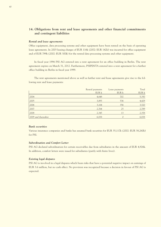# **14. Obligations from rent and lease agreements and other financial commitments and contingent liabilities**

### *Rental and lease agreements*

Office equipment, data processing systems and other equipment have been rented on the basis of operating lease agreements. In 2003 leasing charges of EUR 116k (2002: EUR 142k) was incurred for office equipment and of EUR 799k (2002: EUR 300k) for the rented data processing systems and other equipment.

In fiscal year 1996 PSI AG entered into a rent agreement for an office building in Berlin. The rent agreement expires on March 31, 2012. Furthermore, PSIPENTA entered into a rent agreement for a further office building in Berlin in fiscal year 1999.

The rent agreements mentioned above as well as further rent and lease agreements give rise to the following rent and lease payments:

|                     | Rental payments | Lease payments | Total |
|---------------------|-----------------|----------------|-------|
|                     | EUR k           | EUR k          | EUR k |
| 2004                | 4,648           | 702            | 5,350 |
| 2005                | 3,893           | 536            | 4,429 |
| 2006                | 3,164           | 356            | 3,520 |
| 2007                | 2,764           | 25             | 2,789 |
| 2008                | 2,345           | 13             | 2,358 |
| 2009 and thereafter | 6,838           | 0              | 6,838 |

### *Bank securities*

Various insurance companies and banks has assumed bank securities for EUR 35,117k (2002: EUR 38,260k) for PSI.

### *Subordination and Comfort Letter*

PSI AG declared subordination for certain receivables due from subsidiaries in the amount of EUR 4,926k. In addition, comfort letters were issued for subsidiaries (partly with finite lives).

### *Existing legal disputes*

PSI AG is involved in a legal disputes which bears risks that have a potential negative impact on earnings of EUR 3.6 million, but no cash effect. No provision was recognized because a decision in favour of PSI AG is expected.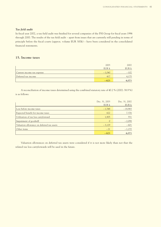## *Tax field audit*

In fiscal year 2002, a tax field audit was finished for several companies of the PSI Group for fiscal years 1996 through 2000. The results of the tax field audit – apart from issues that are currently still pending in terms of principle before the fiscal courts (approx. volume EUR 300k) – have been considered in the consolidated financial statements.

# **15. Income taxes**

|                            | 2003     | 2002   |
|----------------------------|----------|--------|
|                            | EUR k    | EUR k  |
| Current income tax expense | $-1,040$ | $-102$ |
| Deferred tax income        | 417      | 4,175  |
|                            | $-623$   | 4,073  |

A reconciliation of income taxes determined using the combined statutory rate of 40.2 % (2002: 38.9 %) is as follows:

|                                            | Dec. 31, 2003 | Dec. 31, 2002 |
|--------------------------------------------|---------------|---------------|
|                                            | EUR k         | EUR k         |
| Loss before income taxes                   | $-1,548$      | $-18,965$     |
| Expected benefit for income taxes          | 622           | 7.376         |
| Utilization of tax loss carryforward       | 1,905         | 551           |
| Impairment of goodwill                     | $\mathcal{O}$ | $-2,098$      |
| Valuation allowance on deferred tax assets | $-3,129$      | $-601$        |
| Other items                                | $-21$         | $-1,155$      |
|                                            | $-623$        | 4,073         |

Valuation allowances on deferred tax assets were considered if it is not more likely than not that the related tax loss carryforwards will be used in the future.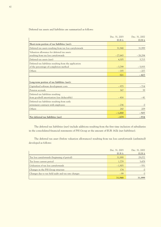Deferred tax assets and liabilities are summarized as follows:

|                                                           | Dec. 31, 2003 | Dec. 31, 2002 |
|-----------------------------------------------------------|---------------|---------------|
|                                                           | EUR k         | EUR k         |
| Short-term portion of tax liabilities (net):              |               |               |
| Deferred tax assets resulting from tax loss carryforwards | 31,948        | 31,999        |
| Valuation allowance for deferred tax assets               |               |               |
| resulting from tax loss carryforwards                     | $-27,643$     | $-26,284$     |
| Deferred tax assets (net)                                 | 4,305         | 5,715         |
| Deferred tax liabilities resulting from the application   |               |               |
| of the percentage-of-completion method                    | $-3,799$      | $-5,935$      |
| Others                                                    | $-185$        | $-207$        |
|                                                           | 321           | $-427$        |
|                                                           |               |               |
| Long-term portion of tax liabilities (net):               |               |               |
| Capitalized software development costs                    | $-975$        | $-714$        |
| Pension accruals                                          | 367           | 39            |
| Deferred tax liabilities resulting                        |               |               |
| from goodwill amortization (tax deductable)               | $-416$        | $-41$         |
| Deferred tax liabilities resulting from early             |               |               |
| retirement contracts with employees                       | $-236$        | $\Omega$      |
| Others                                                    | 260           | 209           |
|                                                           | $-1,000$      | $-507$        |
| Net deferred tax liabilities (net)                        | $-679$        | $-934$        |

The deferred tax liabilities (net) include additions resulting from the first time inclusion of subsidiaries in the consolidated financial statements of PSI Group at the amount of EUR 162k (net liabilities).

The deferred tax asset (before valuation allowances) resulting from tax loss carryforwards (unlimited) developed as follows:

|                                                     | Dec. 31, 2003<br>EUR k | Dec. 31, 2002<br>EUR k |
|-----------------------------------------------------|------------------------|------------------------|
| Tax loss carryforwards (beginning of period)        | 31,999                 | 29,072                 |
| Tax losses current period                           | 1,779                  | 3,478                  |
| Utilization of tax loss carryforwards               | $-1,905$               | $-551$                 |
| Changes in the PSI Group structure                  | 174                    |                        |
| Changes due to tax field audit and tax rate changes | $-99$                  |                        |
|                                                     | 31,948                 | 31,999                 |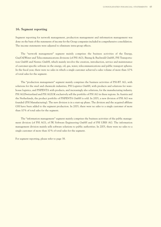## **16. Segment reporting**

Segment reporting for network management, production management and information management was done on the basis of the statements of income for the Group companies included in comprehensive consolidation. The income statements were adjusted to eliminate intra-group effects.

The "network management" segment mainly comprises the business activities of the Energy, Gas/Oil/Water and Telecommunications divisions (of PSI AG), Büsing & Buchwald GmbH, PSI Transportation GmbH and Nentec GmbH, which mainly involve the creation, introduction, service and maintenance of customer-specific software in the energy, oil, gas, water, telecommunications and public transport spheres. In the fiscal year, there were no sales in which a single customer achieved a sales volume of more than 10 % of total sales for the segment.

The "production management" segment mainly comprises the business activities of PSI-BT AG, with solutions for the steel and chemicals industries, PSI Logistics GmbH, with products and solutions for warehouse logistics, and PSIPENTA with products, and increasingly also solutions, for the manufacturing industry. PSI AG/Switzerland and PSI AG/UK exclusively sell the portfolio of PSI AG in these regions. In Austria and the Netherlands, the product portfolio of PSIPENTA GmbH is sold. In 2003, a new division of PSI AG was founded (PSI Manufacturing). The new division is in a start-up phase. The division and the acquired affiliate GSI have been added to the segment production. In 2003, there were no sales to a single customer of more than 10 % of total sales for the segment.

The "information management" segment mainly comprises the business activities of the public management division (of PSI AG), of PK Software Engineering GmbH and of PSI UBIS AG. The information management division mainly sells software solutions to public authorities. In 2003, there were no sales to a single customer of more than 10 % of total sales for the segment.

For segment reporting, please refer to page 38.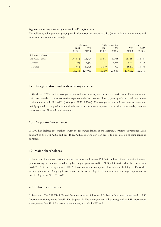### *Segment reporting – sales by geographically defined area*

The following table provides geographical information in respect of sales (sales to domestic customers and sales to international customers):

|                     |         | Germany |        | Other countries |         | Total   |
|---------------------|---------|---------|--------|-----------------|---------|---------|
|                     | 2003    | 2002    | 2003   | 2002            | 2003    | 2002    |
|                     | EUR k   | EUR k   | EUR k  | EUR k           | EUR k   | EUR k   |
| Software production |         |         |        |                 |         |         |
| and maintenance     | 101,514 | 101,904 | 15,673 | 20,785          | 117,187 | 122,689 |
| Licenses            | 4,204   | 5,457   | 1,088  | 1,961           | 5,292   | 7,418   |
| Hardware            | 13,024  | 19,708  | 2,149  | 900             | 15,173  | 20,608  |
|                     | 118,742 | 127,069 | 18,910 | 23,646          | 137,652 | 150,715 |

# **17. Reorganization and restructuring expense**

In fiscal year 2003, various reorganization and restructuring measures were carried out. These measures, which are intended to reduce operative expenses and sales costs in following years significantly, led to expenses in the amount of EUR 2,413k (prior year: EUR 8,730k). The reorganization and restructuring measures mainly applied to the production and information management segments and to the corporate departments whose costs are allocated to all segments.

## **18. Corporate Governance**

PSI AG has declared its compliance with the recommendations of the German Corporate Governance Code pursuant to Sec. 161 AktG and Sec. 15 EGAktG. Shareholders can access this declaration of compliance at all times.

## **19. Major shareholders**

In fiscal year 2003, a consortium, in which various employees of PSI AG combined their shares for the purpose of voting in common, issued an updated report pursuant to Sec. 21 WpHG, stating that the consortium holds 7.1% of the voting rights in PSI AG. An investment company informed about holding 5.14 % of the voting rights in the Company in accordance with Sec. 21 WpHG. There were no other reports pursuant to Sec. 21 WpHG or Sec. 20 AktG.

## **20. Subsequent events**

In February 2004, PSI UBIS United Business Internet Solutions AG, Berlin, has been transformed to PSI Information Management GmbH. The Segment Public Management will be integrated in PSI Information Management GmbH. All shares in the company are held by PSI AG.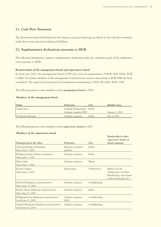# **21. Cash Flow Statement**

The short-term financial liabilities for the purpose of project financing are shown in the cash flow statement under short-term operational financial liabilities.

# **22. Supplementary declarations pursuant to HGB**

The following information comprises supplementary declarations that are a mandatory part of the explanatory notes pursuant to HGB:

### *Remuneration of the management board and supervisory board*

In fiscal year 2003, the management board of PSI AG received remuneration of EUR 387k (2002: EUR 1,240k). For former members of the management board pensions reserves amounting to EUR 808k has been considered. The supervisory board received remuneration amounting to EUR 73k (2002: EUR 115k).

The following persons were members of the **management board** in 2003:

### *Members of the management board*

| Name               | Profession                   | City          | Member since              |
|--------------------|------------------------------|---------------|---------------------------|
| Armin Stein        | Graduate Businessman/ Berlin |               |                           |
|                    | Graduate engineer (FH)       |               | $\lambda$ lanuary 1, 2001 |
| Dr Harald Schrimpf | Graduate engineer            | <b>Berlin</b> | July 8, 2002              |

The following persons were members of the **supervisory board** in 2003:

### *Members of the supervisory board*

| Name/period of the office                                           | Profession                     | City          | Membership in other<br>supervisory boards of<br>listed companies                           |
|---------------------------------------------------------------------|--------------------------------|---------------|--------------------------------------------------------------------------------------------|
| Christian Brunke (Chairman)<br>Since June 7, 2002                   | Business economics<br>graduate | Berlin        |                                                                                            |
| Wolfgang Dedner (Deputy chairman)<br>Since June 7, 2002             | Graduate engineer              | Berlin        |                                                                                            |
| Klaus Linke<br>Since June 7, 2002                                   | Graduate engineer              | Werne         |                                                                                            |
| Karsten Trippel<br>Since June 7, 2002                               | Businessman                    | Großbottwar   | Berlina AG für<br>Anlagewerte Ost-West<br>Beteiligungs- und Grund-<br>stücksverwaltungs AG |
| Dirk Noß (Employee representative)<br>Since June 12, 2003           | Graduate engineer              | Aschaffenburg |                                                                                            |
| Barbara Simon (Employee representative)<br>Since June 12, 2003      | Graduate engineer              | Berlin        |                                                                                            |
| Wolfgang Fischer (Employee representative)<br>Until June 12, 2003   | Graduate engineer<br>(FH)      | Aschaffenburg |                                                                                            |
| Siegfried Hartmann (Employee representative)<br>Until June 12, 2003 | Graduate engineer              | Aschaffenburg |                                                                                            |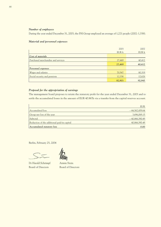### *Number of employees*

During the year ended December 31, 2003, the PSI Group employed an average of 1,221 people (2002: 1,338).

### *Material and personnel expenses*

|                                    | 2003   | 2002   |
|------------------------------------|--------|--------|
|                                    | EUR k  | EUR k  |
| Cost of materials                  |        |        |
| Purchased merchandise and services | 27,469 | 40,412 |
|                                    | 27,469 | 40,412 |
| Personnel expenses                 |        |        |
| Wages and salaries                 | 70,567 | 80,319 |
| Social security and pensions       | 12,336 | 12,626 |
|                                    | 82,903 | 92,945 |

# *Proposal for the appropriation of earnings*

The management board proposes to retain the statutory profit for the year ended December 31, 2003 and to settle the accumulated losses in the amount of EUR 40.867k via a transfer from the capital reserves account.

|                                             | <b>EUR</b>       |
|---------------------------------------------|------------------|
| Accumulated loss                            | $-44,562,459.64$ |
| Group net loss of the year                  | 3,696,069.15     |
| Subtotal                                    | $-40,866,390.49$ |
| Reduction of the additional paid-in capital | 40,866,390.49    |
| Accumulated statutory loss                  | 0.00             |

Berlin, February 25, 2004

Dr Harald Schrimpf Armin Stein Board of Directors Board of Directors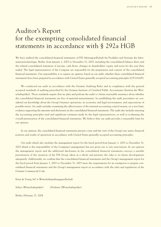# Auditor's Report for the exempting consolidated financial statements in accordance with § 292a HGB

We have audited the consolidated financial statements of PSI Aktiengesellschaft für Produkte und Systeme der Informationstechnologie, Berlin, from January 1, 2003 to December 31, 2003, including the consolidated balance sheet and the related consolidated statement of income, cash flows, changes in shareholders' equity and notes for the year then ended. The legal representatives of the Company are responsible for the preparation and content of the consolidated financial statements. Our responsibility is to express an opinion, based on our audit, whether these consolidated financial statements have been prepared in accordance with United States generally accepted accounting principles (US GAAP).

We conducted our audit in accordance with the German Auditing Rules and in compliance with the general accepted standards of auditing prescribed by the German Institute of Certified Public Accountants (Institut der Wirtschaftsprüfer). Those standards require that we plan and perform the audit to obtain reasonable assurance about whether the consolidated financial statements are free of material misstatements. In establishing the audit procedures we considered our knowledge about the Group's business operations, its economic and legal environment, and expectations of possible errors. An audit includes examining the effectiveness of the internal accounting control system, on a test basis, evidence supporting the amounts and disclosures in the consolidated financial statements. The audit also includes assessing the accounting principles used and significant estimates made by the legal representatives, as well as evaluating the overall presentation of the consolidated financial statements. We believe that our audit provides a reasonable basis for our opinion.

In our opinion, the consolidated financial statements present a true and fair view of the Group's net assets, financial position and results of operations in accordance with United States generally accepted accounting principles.

Our audit which also includes the management report for the fiscal period from January 1, 2003 to December 31, 2003 which is the responsibility of the Company's management has not given rise to any reservations. In our opinion the management report and the additional disclosures in the consolidated financial statements conveys a suitable presentation of the situation of the PSI Group taken as a whole and presents the risks to its future developments adequately. Additionally, we confirm that the consolidated financial statements and the Group's management report for the fiscal period from January 1, 2003 to December 31, 2003 meet the requirements for an exemption to prepare consolidated financial statements and the Group's management report in accordance with the rules and regulations of the German Commercial Code.

Ernst & Young AG • Wirtschaftsprüfungsgesellschaft

Selter (Wirtschaftsprüfer) Glöckner (Wirtschaftsprüfer)

Berlin, February 27, 2004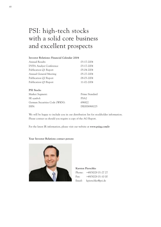# PSI: high-tech stocks with a solid core business and excellent prospects

| <b>Investor Relations: Financial Calendar 2004</b> |                  |
|----------------------------------------------------|------------------|
| Annual Results                                     | 03-17-2004       |
| <b>DVFA Analyst Conference</b>                     | 03-17-2004       |
| Publication Q1 Report                              | 05-04-2004       |
| Annual General Meeting                             | 05-27-2004       |
| Publication Q2 Report                              | 08-03-2004       |
| Publication Q3 Report                              | 11-02-2004       |
| <b>PSI</b> Stocks                                  |                  |
| Market Segment:                                    | Prime Standard   |
| SE symbol:                                         | PSA <sub>2</sub> |
| German Securities Code (WKN):                      | 696822           |
| ISIN:                                              | DE0006968225     |
|                                                    |                  |

We will be happy to include you in our distribution list for stockholder information. Please contact us should you require a copy of the AG Report.

For the latest IR information, please visit our website at **www.psiag.com/ir**

## **Your Investor Relations contact person:**



### **Karsten Pierschke**

Phone: +49/30/28 01-27 27 Fax: +49/30/28 01-10 00 Email: kpierschke@psi.de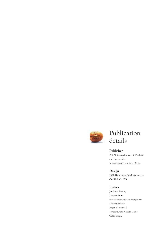

## Publication details

## **Publisher**

PSI Aktiengesellschaft für Produkte und Systeme der Informationstechnologie, Berlin

## **Design**

HGB Hamburger Geschäftsberichte GmbH & Co. KG

## **Images**

Jan-Peter Böning Thomas Bruns envia Mitteldeutsche Energie AG Thomas Rabsch Jürgen Sandersfeld ThyssenKrupp Nirosta GmbH Getty Images